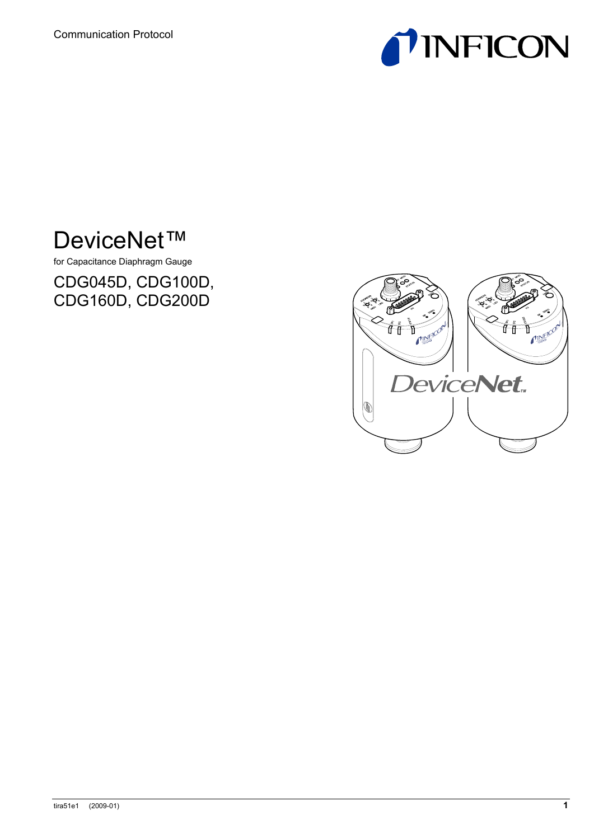

# DeviceNet™

for Capacitance Diaphragm Gauge

CDG045D, CDG100D, CDG160D, CDG200D

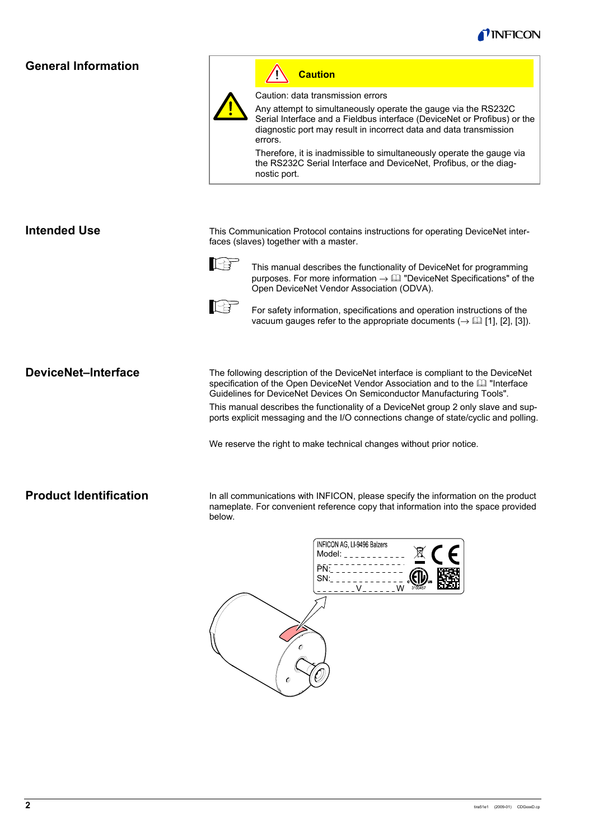

## **General Information**



#### **Caution** Ţ

Caution: data transmission errors

Any attempt to simultaneously operate the gauge via the RS232C Serial Interface and a Fieldbus interface (DeviceNet or Profibus) or the diagnostic port may result in incorrect data and data transmission errors.

Therefore, it is inadmissible to simultaneously operate the gauge via the RS232C Serial Interface and DeviceNet, Profibus, or the diagnostic port.

#### **Intended Use**

This Communication Protocol contains instructions for operating DeviceNet interfaces (slaves) together with a master.



This manual describes the functionality of DeviceNet for programming purposes. For more information  $\rightarrow \Box$  "DeviceNet Specifications" of the Open DeviceNet Vendor Association (ODVA).



For safety information, specifications and operation instructions of the vacuum gauges refer to the appropriate documents ( $\rightarrow \Box$  [1], [2], [3]).

### **DeviceNet–Interface**

The following description of the DeviceNet interface is compliant to the DeviceNet specification of the Open DeviceNet Vendor Association and to the  $\Box$  "Interface Guidelines for DeviceNet Devices On Semiconductor Manufacturing Tools".

This manual describes the functionality of a DeviceNet group 2 only slave and supports explicit messaging and the I/O connections change of state/cyclic and polling.

We reserve the right to make technical changes without prior notice.

#### **Product Identification**

In all communications with INFICON, please specify the information on the product nameplate. For convenient reference copy that information into the space provided below.

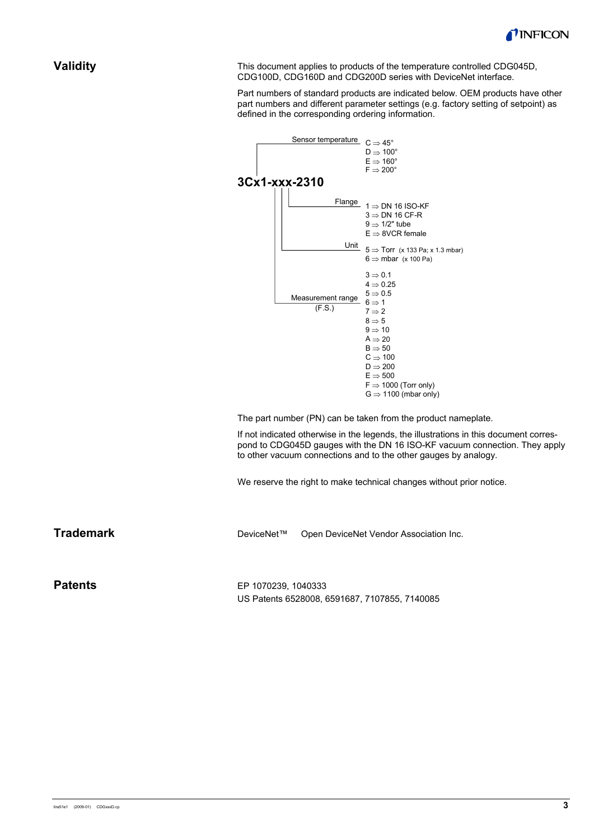

#### **Validity**

This document applies to products of the temperature controlled CDG045D, CDG100D, CDG160D and CDG200D series with DeviceNet interface.

Part numbers of standard products are indicated below. OEM products have other part numbers and different parameter settings (e.g. factory setting of setpoint) as defined in the corresponding ordering information.



The part number (PN) can be taken from the product nameplate.

If not indicated otherwise in the legends, the illustrations in this document correspond to CDG045D gauges with the DN 16 ISO-KF vacuum connection. They apply to other vacuum connections and to the other gauges by analogy.

We reserve the right to make technical changes without prior notice.

**Trademark** 

DeviceNet™ Open DeviceNet Vendor Association Inc.

**Patents** 

EP 1070239, 1040333 US Patents 6528008, 6591687, 7107855, 7140085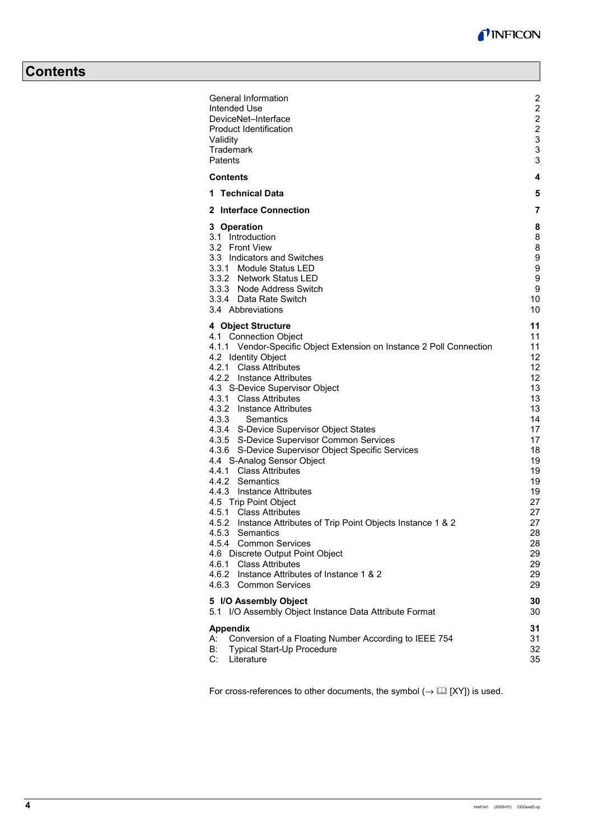## **Contents**

| General Information                                                                           | 2<br>2         |
|-----------------------------------------------------------------------------------------------|----------------|
| Intended Use                                                                                  | $\overline{c}$ |
| DeviceNet-Interface<br><b>Product Identification</b>                                          | $\overline{c}$ |
| Validity                                                                                      |                |
| Trademark                                                                                     | 3<br>3         |
| Patents                                                                                       | 3              |
| <b>Contents</b>                                                                               |                |
|                                                                                               | 4              |
| 1 Technical Data                                                                              | 5              |
| 2 Interface Connection                                                                        | 7              |
| 3 Operation                                                                                   | 8              |
| 3.1 Introduction                                                                              | 8              |
| 3.2 Front View                                                                                | 8              |
| 3.3 Indicators and Switches                                                                   | 9              |
| 3.3.1 Module Status LED                                                                       | 9              |
| 3.3.2 Network Status LED                                                                      | 9              |
| 3.3.3 Node Address Switch<br>3.3.4 Data Rate Switch                                           | 9<br>10        |
| 3.4 Abbreviations                                                                             | 10             |
|                                                                                               |                |
| 4 Object Structure                                                                            | 11             |
| 4.1 Connection Object<br>4.1.1 Vendor-Specific Object Extension on Instance 2 Poll Connection | 11<br>11       |
| 4.2 Identity Object                                                                           | 12             |
| 4.2.1 Class Attributes                                                                        | 12             |
| 4.2.2 Instance Attributes                                                                     | 12             |
| 4.3 S-Device Supervisor Object                                                                | 13             |
| 4.3.1 Class Attributes                                                                        | 13             |
| 4.3.2 Instance Attributes                                                                     | 13             |
| 4.3.3<br>Semantics                                                                            | 14             |
| 4.3.4 S-Device Supervisor Object States                                                       | 17             |
| 4.3.5 S-Device Supervisor Common Services                                                     | 17             |
| 4.3.6 S-Device Supervisor Object Specific Services<br>4.4 S-Analog Sensor Object              | 18<br>19       |
| 4.4.1 Class Attributes                                                                        | 19             |
| 4.4.2 Semantics                                                                               | 19             |
| 4.4.3 Instance Attributes                                                                     | 19             |
| 4.5 Trip Point Object                                                                         | 27             |
| 4.5.1 Class Attributes                                                                        | 27             |
| 4.5.2 Instance Attributes of Trip Point Objects Instance 1 & 2                                | 27             |
| 4.5.3<br>Semantics                                                                            | 28             |
| 4.5.4 Common Services                                                                         | 28             |
| 4.6 Discrete Output Point Object                                                              | 29             |
| 4.6.1 Class Attributes<br>4.6.2 Instance Attributes of Instance 1 & 2                         | 29<br>29       |
| 4.6.3 Common Services                                                                         | 29             |
|                                                                                               |                |
| 5 I/O Assembly Object                                                                         | 30             |
| 5.1 I/O Assembly Object Instance Data Attribute Format                                        | 30             |
| <b>Appendix</b>                                                                               | 31             |
| Conversion of a Floating Number According to IEEE 754<br>А:                                   | 31             |
| В:<br>Typical Start-Up Procedure                                                              | 32             |
| C:<br>Literature                                                                              | 35             |

For cross-references to other documents, the symbol  $(\rightarrow \Box\Box$  [XY]) is used.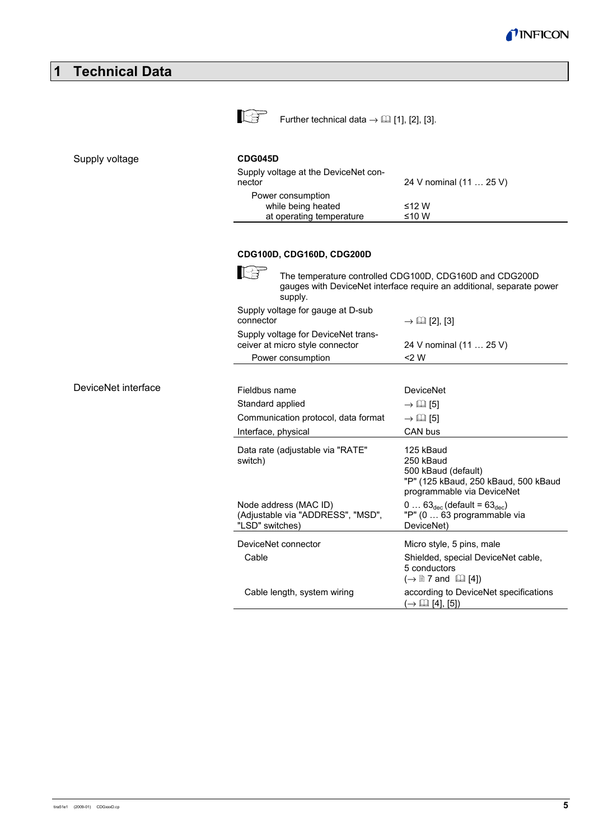| 1<br><b>Technical Data</b> |                                                                                                                                               |                                                                                                                                                                                  |
|----------------------------|-----------------------------------------------------------------------------------------------------------------------------------------------|----------------------------------------------------------------------------------------------------------------------------------------------------------------------------------|
|                            | 长<br>Further technical data $\rightarrow$ [1], [2], [3].                                                                                      |                                                                                                                                                                                  |
| Supply voltage             | <b>CDG045D</b><br>Supply voltage at the DeviceNet con-<br>nector<br>Power consumption<br>while being heated<br>at operating temperature       | 24 V nominal (11  25 V)<br>$≤12 W$<br>≤10 W                                                                                                                                      |
|                            | CDG100D, CDG160D, CDG200D<br>隐<br>supply.                                                                                                     | The temperature controlled CDG100D, CDG160D and CDG200D<br>gauges with DeviceNet interface require an additional, separate power                                                 |
|                            | Supply voltage for gauge at D-sub<br>connector<br>Supply voltage for DeviceNet trans-<br>ceiver at micro style connector<br>Power consumption | $\rightarrow \Box$ [2], [3]<br>24 V nominal (11  25 V)<br>$<$ 2 W                                                                                                                |
| DeviceNet interface        | Fieldbus name<br>Standard applied<br>Communication protocol, data format<br>Interface, physical                                               | <b>DeviceNet</b><br>$\rightarrow \Box$ [5]<br>$\rightarrow$ [2] [5]<br>CAN bus                                                                                                   |
|                            | Data rate (adjustable via "RATE"<br>switch)<br>Node address (MAC ID)                                                                          | 125 kBaud<br>250 kBaud<br>500 kBaud (default)<br>"P" (125 kBaud, 250 kBaud, 500 kBaud<br>programmable via DeviceNet<br>$0 \ldots 63_{\text{dec}}$ (default = $63_{\text{dec}}$ ) |
|                            | (Adjustable via "ADDRESS", "MSD",<br>"LSD" switches)<br>DeviceNet connector<br>Cable                                                          | "P" (0  63 programmable via<br>DeviceNet)<br>Micro style, 5 pins, male<br>Shielded, special DeviceNet cable,<br>5 conductors                                                     |
|                            | Cable length, system wiring                                                                                                                   | $(\rightarrow \Box$ 7 and $\Box$ [4])<br>according to DeviceNet specifications<br>$(\rightarrow \Box \Box$ [4], [5])                                                             |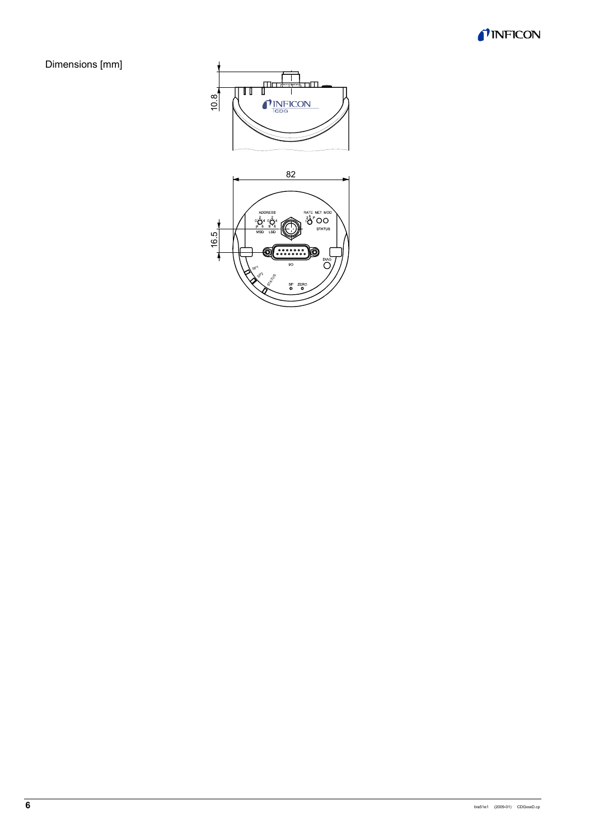Dimensions [mm]

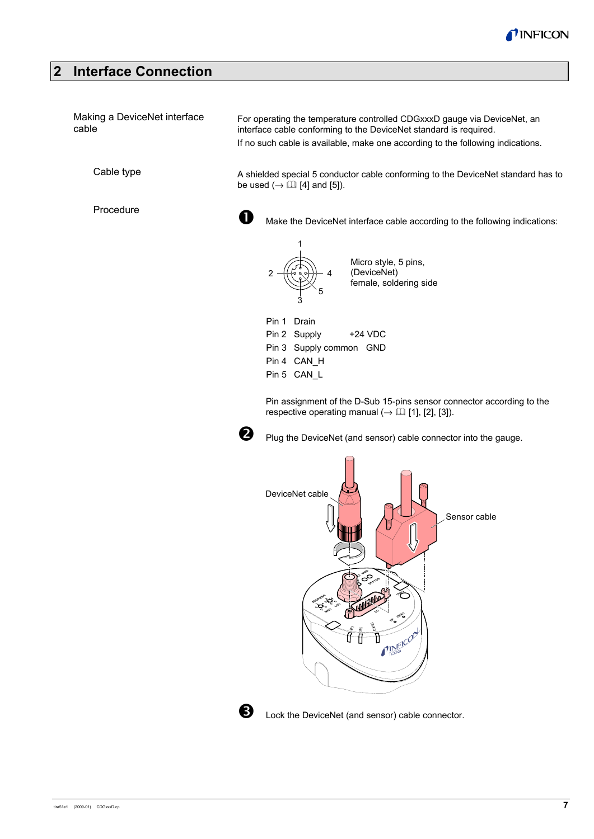

## **2 Interface Connection**

| Making a DeviceNet interface<br>cable | For operating the temperature controlled CDGxxxD gauge via DeviceNet, an<br>interface cable conforming to the DeviceNet standard is required.<br>If no such cable is available, make one according to the following indications.                                                                                                                                                                                                                                                                                                  |  |  |  |
|---------------------------------------|-----------------------------------------------------------------------------------------------------------------------------------------------------------------------------------------------------------------------------------------------------------------------------------------------------------------------------------------------------------------------------------------------------------------------------------------------------------------------------------------------------------------------------------|--|--|--|
| Cable type                            | A shielded special 5 conductor cable conforming to the DeviceNet standard has to<br>be used $(\rightarrow \Box$ [4] and [5]).                                                                                                                                                                                                                                                                                                                                                                                                     |  |  |  |
| Procedure                             | O<br>Make the DeviceNet interface cable according to the following indications:                                                                                                                                                                                                                                                                                                                                                                                                                                                   |  |  |  |
|                                       | Micro style, 5 pins,<br>(DeviceNet)<br>2<br>4<br>female, soldering side                                                                                                                                                                                                                                                                                                                                                                                                                                                           |  |  |  |
|                                       | Drain<br>Pin 1<br>Pin 2 Supply<br>+24 VDC<br>Pin 3 Supply common GND<br>Pin 4 CAN H<br>Pin 5 CAN_L                                                                                                                                                                                                                                                                                                                                                                                                                                |  |  |  |
|                                       | Pin assignment of the D-Sub 15-pins sensor connector according to the<br>respective operating manual ( $\rightarrow \Box$ [1], [2], [3]).                                                                                                                                                                                                                                                                                                                                                                                         |  |  |  |
|                                       | 2<br>Plug the DeviceNet (and sensor) cable connector into the gauge.                                                                                                                                                                                                                                                                                                                                                                                                                                                              |  |  |  |
|                                       | DeviceNet cable<br>Sensor cable<br>₿                                                                                                                                                                                                                                                                                                                                                                                                                                                                                              |  |  |  |
|                                       | $\mathcal{P}^{\circ}$<br>$\circ^{\circ}$<br><b>SIROS</b><br>O<br>abblishbe<br>ACCES RE<br>$\begin{picture}(120,110) \put(0,0){\vector(1,0){10}} \put(15,0){\vector(1,0){10}} \put(15,0){\vector(1,0){10}} \put(15,0){\vector(1,0){10}} \put(15,0){\vector(1,0){10}} \put(15,0){\vector(1,0){10}} \put(15,0){\vector(1,0){10}} \put(15,0){\vector(1,0){10}} \put(15,0){\vector(1,0){10}} \put(15,0){\vector(1,0){10}} \put(15,0){\vector(1,0){10}} \put(15,0){\vector$<br>$\mathcal{S}^{\circ}_{\bullet}$<br>ిం<br><b>PINEICOL</b> |  |  |  |



**e** Lock the DeviceNet (and sensor) cable connector.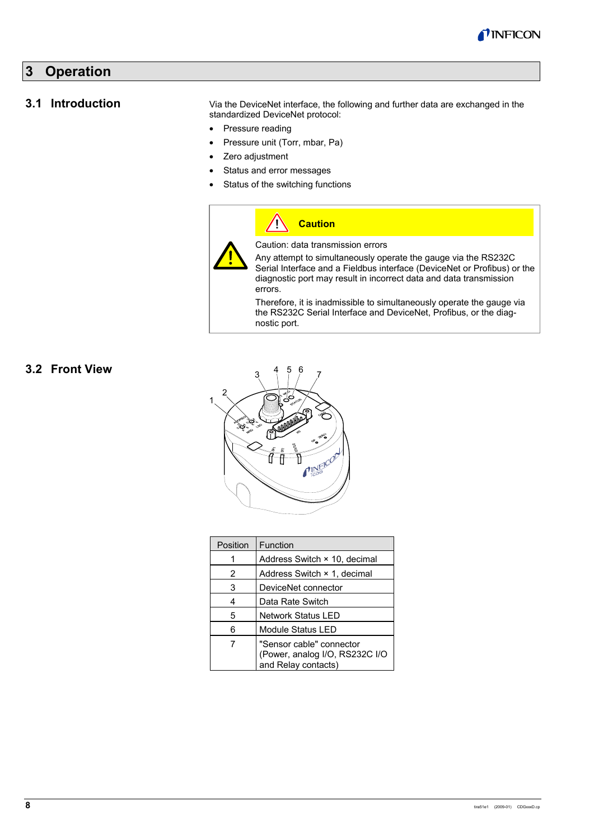

## **3 Operation**

#### **3.1 Introduction**

Via the DeviceNet interface, the following and further data are exchanged in the standardized DeviceNet protocol:

- Pressure reading
- Pressure unit (Torr, mbar, Pa)
- Zero adjustment
- Status and error messages
- Status of the switching functions



## **3.2 Front View**



| Position                                                                               | Function                     |  |  |  |
|----------------------------------------------------------------------------------------|------------------------------|--|--|--|
|                                                                                        | Address Switch × 10, decimal |  |  |  |
| 2                                                                                      | Address Switch × 1, decimal  |  |  |  |
| 3                                                                                      | DeviceNet connector          |  |  |  |
| 4                                                                                      | Data Rate Switch             |  |  |  |
| 5<br><b>Network Status LED</b>                                                         |                              |  |  |  |
| 6                                                                                      | Module Status LED            |  |  |  |
| "Sensor cable" connector<br>7<br>(Power, analog I/O, RS232C I/O<br>and Relay contacts) |                              |  |  |  |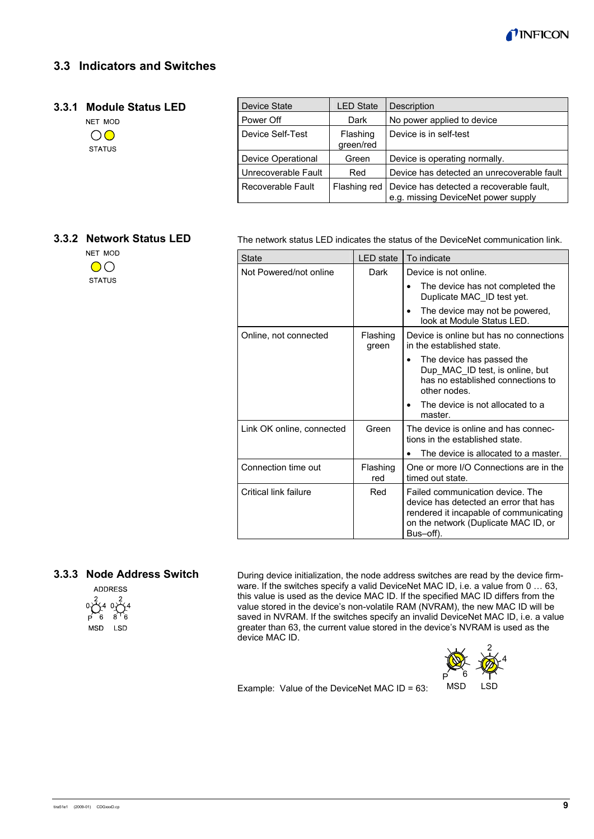

## **3.3 Indicators and Switches**

#### **3.3.1 Module Status LED**

|   | NET MOD |
|---|---------|
| Ω | C       |
|   | STATUS  |

| Device State                              | <b>LED State</b> | Description                                                                     |  |
|-------------------------------------------|------------------|---------------------------------------------------------------------------------|--|
| Power Off                                 | Dark             | No power applied to device                                                      |  |
| Device Self-Test<br>Flashing<br>green/red |                  | Device is in self-test                                                          |  |
| Device Operational                        | Green            | Device is operating normally.                                                   |  |
| Unrecoverable Fault                       | Red              | Device has detected an unrecoverable fault                                      |  |
| Flashing red<br>Recoverable Fault         |                  | Device has detected a recoverable fault,<br>e.g. missing DeviceNet power supply |  |

#### **3.3.2 Network Status LED**

NET MOD  $\overline{O}$ **STATUS** 

The network status LED indicates the status of the DeviceNet communication link.

| State                        | <b>LED</b> state  | To indicate                                                                                                                                                              |  |  |
|------------------------------|-------------------|--------------------------------------------------------------------------------------------------------------------------------------------------------------------------|--|--|
| Not Powered/not online       | Dark              | Device is not online.                                                                                                                                                    |  |  |
|                              |                   | The device has not completed the<br>Duplicate MAC ID test yet.                                                                                                           |  |  |
|                              |                   | The device may not be powered,<br>$\bullet$<br>look at Module Status LED.                                                                                                |  |  |
| Online, not connected        | Flashing<br>green | Device is online but has no connections<br>in the established state.                                                                                                     |  |  |
|                              |                   | The device has passed the<br>Dup MAC ID test, is online, but<br>has no established connections to<br>other nodes.                                                        |  |  |
|                              |                   | The device is not allocated to a<br>master.                                                                                                                              |  |  |
| Link OK online, connected    | Green             | The device is online and has connec-<br>tions in the established state.                                                                                                  |  |  |
|                              |                   | The device is allocated to a master.                                                                                                                                     |  |  |
| Connection time out          | Flashing<br>red   | One or more I/O Connections are in the<br>timed out state.                                                                                                               |  |  |
| Critical link failure<br>Red |                   | Failed communication device. The<br>device has detected an error that has<br>rendered it incapable of communicating<br>on the network (Duplicate MAC ID, or<br>Bus-off). |  |  |

## **3.3.3 Node Address Switch**



During device initialization, the node address switches are read by the device firmware. If the switches specify a valid DeviceNet MAC ID, i.e. a value from 0 ... 63, this value is used as the device MAC ID. If the specified MAC ID differs from the value stored in the device's non-volatile RAM (NVRAM), the new MAC ID will be saved in NVRAM. If the switches specify an invalid DeviceNet MAC ID, i.e. a value greater than 63, the current value stored in the device's NVRAM is used as the device MAC ID.



Example: Value of the DeviceNet MAC ID = 63: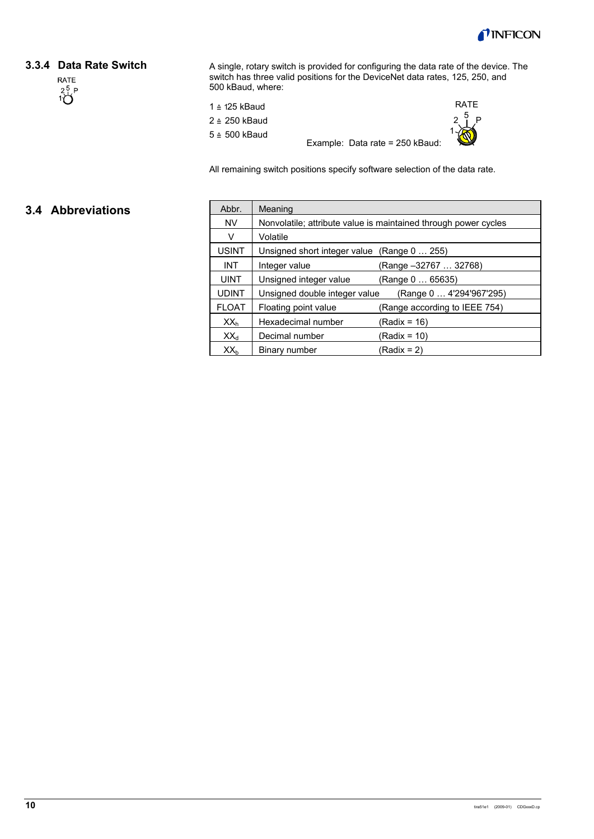

#### **3.3.4 Data Rate Switch**



A single, rotary switch is provided for configuring the data rate of the device. The switch has three valid positions for the DeviceNet data rates, 125, 250, and 500 kBaud, where:

|  | 1 ≙ 125 kBaud |
|--|---------------|
|  | 2 ≙ 250 kBaud |
|  | 5 ≙ 500 kBaud |

Example: Data rate = 250 kBaud:



All remaining switch positions specify software selection of the data rate.

## **3.4 Abbreviations**

| Abbr.           | Meaning                                                         |  |  |  |  |  |
|-----------------|-----------------------------------------------------------------|--|--|--|--|--|
| <b>NV</b>       | Nonvolatile; attribute value is maintained through power cycles |  |  |  |  |  |
| v               | Volatile                                                        |  |  |  |  |  |
| <b>USINT</b>    | Unsigned short integer value (Range 0  255)                     |  |  |  |  |  |
| <b>INT</b>      | (Range -32767  32768)<br>Integer value                          |  |  |  |  |  |
| <b>UINT</b>     | Unsigned integer value<br>(Range 0  65635)                      |  |  |  |  |  |
| <b>UDINT</b>    | Unsigned double integer value<br>(Range 0  4'294'967'295)       |  |  |  |  |  |
| <b>FLOAT</b>    | (Range according to IEEE 754)<br>Floating point value           |  |  |  |  |  |
| XX <sub>h</sub> | Hexadecimal number<br>(Radix = 16)                              |  |  |  |  |  |
| $XX_d$          | Decimal number<br>(Radix = 10)                                  |  |  |  |  |  |
| XX <sub>b</sub> | Binary number<br>(Radix = 2)                                    |  |  |  |  |  |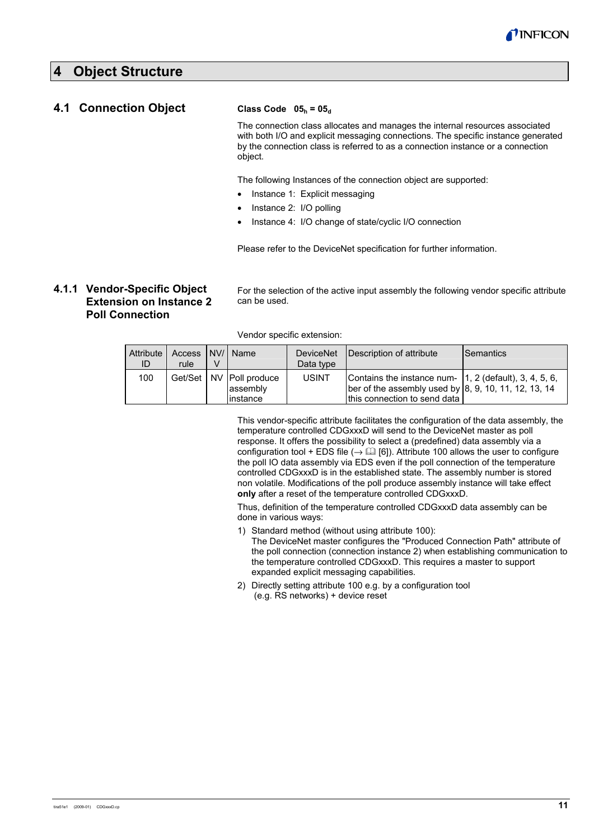

## **4 Object Structure**

#### **4.1 Connection Object**

#### **Class Code 05h = 05d**

The connection class allocates and manages the internal resources associated with both I/O and explicit messaging connections. The specific instance generated by the connection class is referred to as a connection instance or a connection object.

The following Instances of the connection object are supported:

- Instance 1: Explicit messaging
- Instance 2: I/O polling
- Instance 4: I/O change of state/cyclic I/O connection

Please refer to the DeviceNet specification for further information.

## **4.1.1 Vendor-Specific Object Extension on Instance 2 Poll Connection**

For the selection of the active input assembly the following vendor specific attribute can be used.

Vendor specific extension:

| Attribute I<br>ID | Access I NV/I Name<br>rule | v |                                                      | Data type    | DeviceNet   Description of attribute                                                                                                                         | <b>Semantics</b> |
|-------------------|----------------------------|---|------------------------------------------------------|--------------|--------------------------------------------------------------------------------------------------------------------------------------------------------------|------------------|
| 100               |                            |   | Get/Set   NV   Poll produce<br>assembly<br>linstance | <b>USINT</b> | Contains the instance num- $\vert$ 1, 2 (default), 3, 4, 5, 6,<br>ber of the assembly used by $ 8, 9, 10, 11, 12, 13, 14$<br>Ithis connection to send data I |                  |

This vendor-specific attribute facilitates the configuration of the data assembly, the temperature controlled CDGxxxD will send to the DeviceNet master as poll response. It offers the possibility to select a (predefined) data assembly via a configuration tool + EDS file ( $\rightarrow \Box$  [6]). Attribute 100 allows the user to configure the poll IO data assembly via EDS even if the poll connection of the temperature controlled CDGxxxD is in the established state. The assembly number is stored non volatile. Modifications of the poll produce assembly instance will take effect **only** after a reset of the temperature controlled CDGxxxD.

Thus, definition of the temperature controlled CDGxxxD data assembly can be done in various ways:

1) Standard method (without using attribute 100):

The DeviceNet master configures the "Produced Connection Path" attribute of the poll connection (connection instance 2) when establishing communication to the temperature controlled CDGxxxD. This requires a master to support expanded explicit messaging capabilities.

2) Directly setting attribute 100 e.g. by a configuration tool (e.g. RS networks) + device reset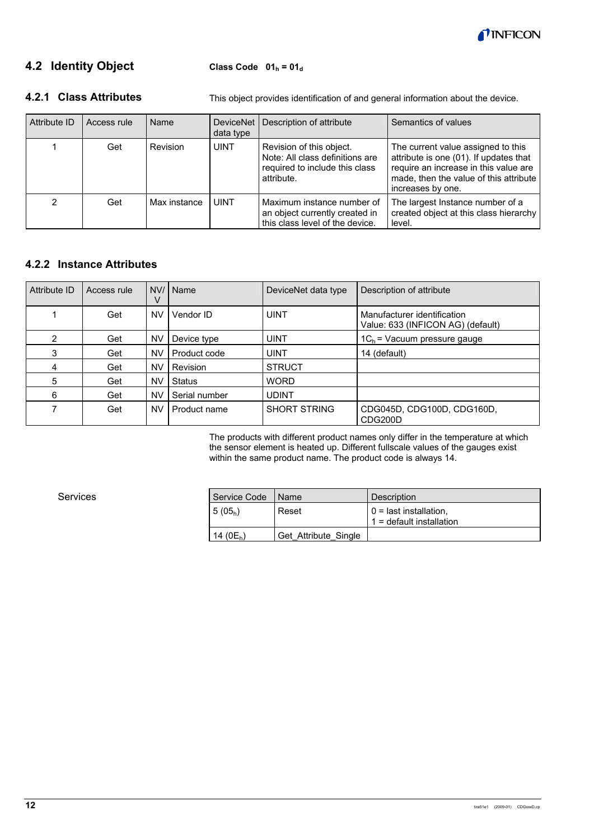

## **4.2 Identity Object**

Class Code 01<sub>h</sub> = 01<sub>d</sub>

## **4.2.1 Class Attributes**

This object provides identification of and general information about the device.

| Attribute ID<br>Access rule<br>Name |     | DeviceNet  <br>data type | Description of attribute | Semantics of values                                                                                         |                                                                                                                                                                                      |
|-------------------------------------|-----|--------------------------|--------------------------|-------------------------------------------------------------------------------------------------------------|--------------------------------------------------------------------------------------------------------------------------------------------------------------------------------------|
|                                     | Get | <b>Revision</b>          | <b>UINT</b>              | Revision of this object.<br>Note: All class definitions are<br>required to include this class<br>attribute. | The current value assigned to this<br>attribute is one (01). If updates that<br>require an increase in this value are<br>made, then the value of this attribute<br>increases by one. |
|                                     | Get | Max instance             | UINT                     | Maximum instance number of<br>an object currently created in<br>this class level of the device.             | The largest Instance number of a<br>created object at this class hierarchy<br>level.                                                                                                 |

## **4.2.2 Instance Attributes**

| Attribute ID | Access rule | V         | NV/   Name    | DeviceNet data type | Description of attribute                                         |
|--------------|-------------|-----------|---------------|---------------------|------------------------------------------------------------------|
|              | Get         | <b>NV</b> | Vendor ID     | <b>UINT</b>         | Manufacturer identification<br>Value: 633 (INFICON AG) (default) |
| 2            | Get         | NV        | Device type   | <b>UINT</b>         | $1C_h$ = Vacuum pressure gauge                                   |
| 3            | Get         | NV        | Product code  | <b>UINT</b>         | 14 (default)                                                     |
| 4            | Get         | NV        | Revision      | <b>STRUCT</b>       |                                                                  |
| 5            | Get         | <b>NV</b> | <b>Status</b> | <b>WORD</b>         |                                                                  |
| 6            | Get         | NV        | Serial number | <b>UDINT</b>        |                                                                  |
|              | Get         | NV        | Product name  | <b>SHORT STRING</b> | CDG045D, CDG100D, CDG160D,<br>CDG200D                            |

The products with different product names only differ in the temperature at which the sensor element is heated up. Different fullscale values of the gauges exist within the same product name. The product code is always 14.

Services

| Service Code  | ∣Name                | Description                                            |
|---------------|----------------------|--------------------------------------------------------|
| $5(05_h)$     | Reset                | $0 =$ last installation,<br>$1 -$ default installation |
| 14 ( $0E_h$ ) | Get Attribute Single |                                                        |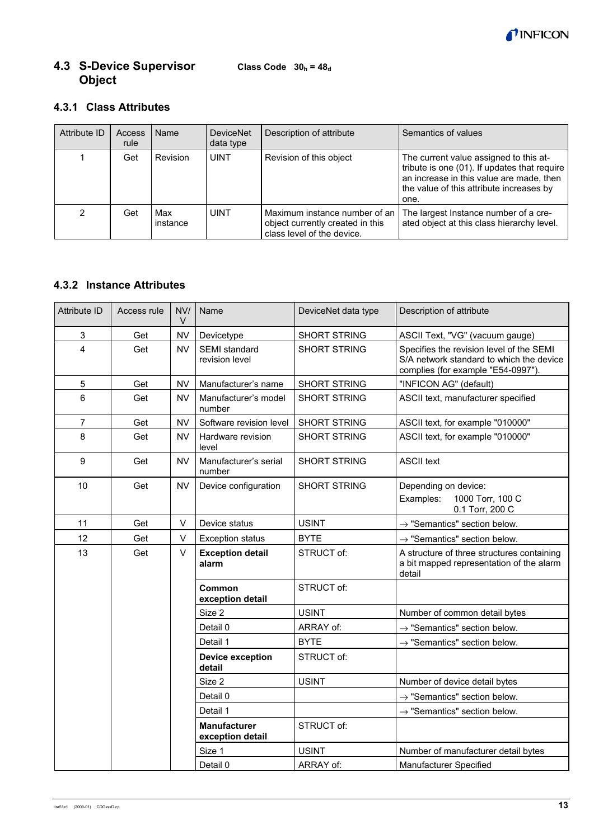

#### **Class Code**  $30_h = 48_d$ **4.3 S-Device Supervisor Object**

## **4.3.1 Class Attributes**

| Attribute ID | Access<br>rule | Name            | <b>DeviceNet</b><br>data type | Description of attribute                                                                        | Semantics of values                                                                                                                                                                    |
|--------------|----------------|-----------------|-------------------------------|-------------------------------------------------------------------------------------------------|----------------------------------------------------------------------------------------------------------------------------------------------------------------------------------------|
|              | Get            | Revision        | <b>UINT</b>                   | Revision of this object                                                                         | The current value assigned to this at-<br>tribute is one (01). If updates that require<br>an increase in this value are made, then<br>the value of this attribute increases by<br>one. |
| 2            | Get            | Max<br>instance | <b>UINT</b>                   | Maximum instance number of an<br>object currently created in this<br>class level of the device. | The largest Instance number of a cre-<br>ated object at this class hierarchy level.                                                                                                    |

## **4.3.2 Instance Attributes**

| <b>Attribute ID</b> | Access rule | NVI<br>V  | Name                                    | DeviceNet data type | Description of attribute                                                                                                  |
|---------------------|-------------|-----------|-----------------------------------------|---------------------|---------------------------------------------------------------------------------------------------------------------------|
| 3                   | Get         | <b>NV</b> | Devicetype                              | <b>SHORT STRING</b> | ASCII Text, "VG" (vacuum gauge)                                                                                           |
| 4                   | Get         | <b>NV</b> | SEMI standard<br>revision level         | <b>SHORT STRING</b> | Specifies the revision level of the SEMI<br>S/A network standard to which the device<br>complies (for example "E54-0997") |
| 5                   | Get         | <b>NV</b> | Manufacturer's name                     | <b>SHORT STRING</b> | "INFICON AG" (default)                                                                                                    |
| 6                   | Get         | <b>NV</b> | Manufacturer's model<br>number          | <b>SHORT STRING</b> | ASCII text, manufacturer specified                                                                                        |
| $\overline{7}$      | Get         | <b>NV</b> | Software revision level                 | <b>SHORT STRING</b> | ASCII text, for example "010000"                                                                                          |
| 8                   | Get         | <b>NV</b> | Hardware revision<br>level              | <b>SHORT STRING</b> | ASCII text, for example "010000"                                                                                          |
| 9                   | Get         | <b>NV</b> | Manufacturer's serial<br>number         | <b>SHORT STRING</b> | <b>ASCII text</b>                                                                                                         |
| 10                  | Get         | <b>NV</b> | Device configuration                    | <b>SHORT STRING</b> | Depending on device:<br>1000 Torr, 100 C<br>Examples:<br>0.1 Torr, 200 C                                                  |
| 11                  | Get         | V         | Device status                           | <b>USINT</b>        | $\rightarrow$ "Semantics" section below.                                                                                  |
| 12                  | Get         | $\vee$    | <b>Exception status</b>                 | <b>BYTE</b>         | $\rightarrow$ "Semantics" section below.                                                                                  |
| 13                  | Get         | $\vee$    | <b>Exception detail</b><br>alarm        | STRUCT of:          | A structure of three structures containing<br>a bit mapped representation of the alarm<br>detail                          |
|                     |             |           | Common<br>exception detail              | STRUCT of:          |                                                                                                                           |
|                     |             |           | Size 2                                  | <b>USINT</b>        | Number of common detail bytes                                                                                             |
|                     |             |           | Detail 0                                | ARRAY of:           | $\rightarrow$ "Semantics" section below.                                                                                  |
|                     |             |           | Detail 1                                | <b>BYTE</b>         | $\rightarrow$ "Semantics" section below.                                                                                  |
|                     |             |           | <b>Device exception</b><br>detail       | STRUCT of:          |                                                                                                                           |
|                     |             |           | Size 2                                  | <b>USINT</b>        | Number of device detail bytes                                                                                             |
|                     |             |           | Detail 0                                |                     | $\rightarrow$ "Semantics" section below.                                                                                  |
|                     |             |           | Detail 1                                |                     | $\rightarrow$ "Semantics" section below.                                                                                  |
|                     |             |           | <b>Manufacturer</b><br>exception detail | STRUCT of:          |                                                                                                                           |
|                     |             |           | Size 1                                  | <b>USINT</b>        | Number of manufacturer detail bytes                                                                                       |
|                     |             |           | Detail 0                                | ARRAY of:           | Manufacturer Specified                                                                                                    |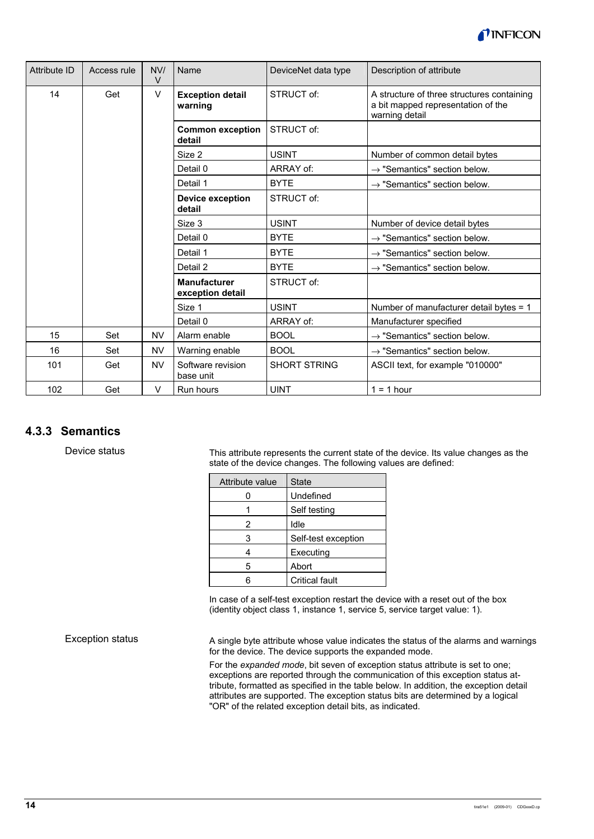

| <b>Attribute ID</b> | Access rule | NVI<br>$\vee$ | Name                                    | DeviceNet data type | Description of attribute                                                                           |
|---------------------|-------------|---------------|-----------------------------------------|---------------------|----------------------------------------------------------------------------------------------------|
| 14                  | Get         | $\vee$        | <b>Exception detail</b><br>warning      | STRUCT of:          | A structure of three structures containing<br>a bit mapped representation of the<br>warning detail |
|                     |             |               | <b>Common exception</b><br>detail       | STRUCT of:          |                                                                                                    |
|                     |             |               | Size 2                                  | <b>USINT</b>        | Number of common detail bytes                                                                      |
|                     |             |               | Detail 0                                | ARRAY of:           | $\rightarrow$ "Semantics" section below.                                                           |
|                     |             |               | Detail 1                                | <b>BYTE</b>         | $\rightarrow$ "Semantics" section below.                                                           |
|                     |             |               | <b>Device exception</b><br>detail       | STRUCT of:          |                                                                                                    |
|                     |             |               | Size 3                                  | <b>USINT</b>        | Number of device detail bytes                                                                      |
|                     |             |               | Detail 0                                | <b>BYTE</b>         | $\rightarrow$ "Semantics" section below.                                                           |
|                     |             |               | Detail 1                                | <b>BYTE</b>         | $\rightarrow$ "Semantics" section below.                                                           |
|                     |             |               | Detail 2                                | <b>BYTE</b>         | $\rightarrow$ "Semantics" section below.                                                           |
|                     |             |               | <b>Manufacturer</b><br>exception detail | STRUCT of:          |                                                                                                    |
|                     |             |               | Size 1                                  | <b>USINT</b>        | Number of manufacturer detail bytes = 1                                                            |
|                     |             |               | Detail 0                                | ARRAY of:           | Manufacturer specified                                                                             |
| 15                  | Set         | <b>NV</b>     | Alarm enable                            | <b>BOOL</b>         | $\rightarrow$ "Semantics" section below.                                                           |
| 16                  | Set         | <b>NV</b>     | Warning enable                          | <b>BOOL</b>         | $\rightarrow$ "Semantics" section below.                                                           |
| 101                 | Get         | <b>NV</b>     | Software revision<br>base unit          | <b>SHORT STRING</b> | ASCII text, for example "010000"                                                                   |
| 102                 | Get         | V             | Run hours                               | <b>UINT</b>         | $1 = 1$ hour                                                                                       |

## **4.3.3 Semantics**

Device status

This attribute represents the current state of the device. Its value changes as the state of the device changes. The following values are defined:

| Attribute value | <b>State</b>          |
|-----------------|-----------------------|
|                 | Undefined             |
|                 | Self testing          |
| 2               | Idle                  |
| 3               | Self-test exception   |
|                 | Executing             |
| 5               | Abort                 |
|                 | <b>Critical fault</b> |

In case of a self-test exception restart the device with a reset out of the box (identity object class 1, instance 1, service 5, service target value: 1).

Exception status

A single byte attribute whose value indicates the status of the alarms and warnings for the device. The device supports the expanded mode.

For the *expanded mode*, bit seven of exception status attribute is set to one; exceptions are reported through the communication of this exception status attribute, formatted as specified in the table below. In addition, the exception detail attributes are supported. The exception status bits are determined by a logical "OR" of the related exception detail bits, as indicated.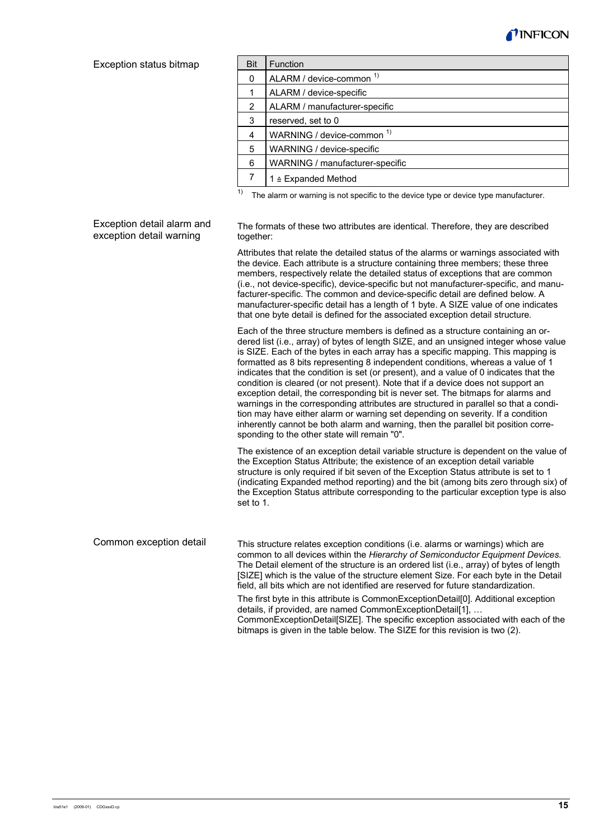

#### Exception status bitmap

| <b>Bit</b> | Function                        |
|------------|---------------------------------|
| 0          | ALARM / device-common 1)        |
|            | ALARM / device-specific         |
| 2          | ALARM / manufacturer-specific   |
| 3          | reserved, set to 0              |
| 4          | WARNING / device-common 1)      |
| 5          | WARNING / device-specific       |
| 6          | WARNING / manufacturer-specific |
|            | 1 ≙ Expanded Method             |

 $\overline{1)}$  The alarm or warning is not specific to the device type or device type manufacturer.

#### Exception detail alarm and exception detail warning

The formats of these two attributes are identical. Therefore, they are described together:

Attributes that relate the detailed status of the alarms or warnings associated with the device. Each attribute is a structure containing three members; these three members, respectively relate the detailed status of exceptions that are common (i.e., not device-specific), device-specific but not manufacturer-specific, and manufacturer-specific. The common and device-specific detail are defined below. A manufacturer-specific detail has a length of 1 byte. A SIZE value of one indicates that one byte detail is defined for the associated exception detail structure.

Each of the three structure members is defined as a structure containing an ordered list (i.e., array) of bytes of length SIZE, and an unsigned integer whose value is SIZE. Each of the bytes in each array has a specific mapping. This mapping is formatted as 8 bits representing 8 independent conditions, whereas a value of 1 indicates that the condition is set (or present), and a value of 0 indicates that the condition is cleared (or not present). Note that if a device does not support an exception detail, the corresponding bit is never set. The bitmaps for alarms and warnings in the corresponding attributes are structured in parallel so that a condition may have either alarm or warning set depending on severity. If a condition inherently cannot be both alarm and warning, then the parallel bit position corresponding to the other state will remain "0".

The existence of an exception detail variable structure is dependent on the value of the Exception Status Attribute; the existence of an exception detail variable structure is only required if bit seven of the Exception Status attribute is set to 1 (indicating Expanded method reporting) and the bit (among bits zero through six) of the Exception Status attribute corresponding to the particular exception type is also set to 1.

This structure relates exception conditions (i.e. alarms or warnings) which are common to all devices within the *Hierarchy of Semiconductor Equipment Devices*. The Detail element of the structure is an ordered list (i.e., array) of bytes of length [SIZE] which is the value of the structure element Size. For each byte in the Detail field, all bits which are not identified are reserved for future standardization. The first byte in this attribute is CommonExceptionDetail[0]. Additional exception details, if provided, are named CommonExceptionDetail[1], … Common exception detail

CommonExceptionDetail[SIZE]. The specific exception associated with each of the bitmaps is given in the table below. The SIZE for this revision is two (2).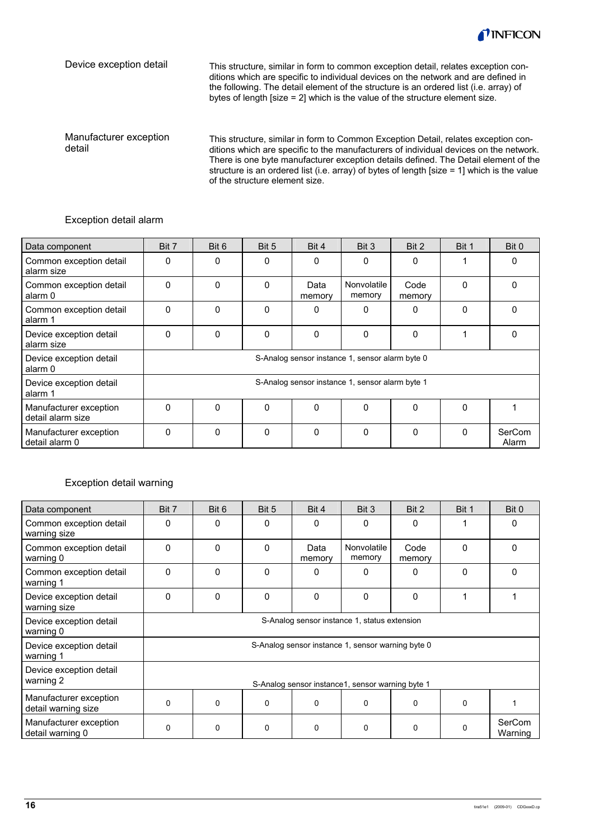

Device exception detail

This structure, similar in form to common exception detail, relates exception conditions which are specific to individual devices on the network and are defined in the following. The detail element of the structure is an ordered list (i.e. array) of bytes of length [size = 2] which is the value of the structure element size.

Manufacturer exception detail

This structure, similar in form to Common Exception Detail, relates exception conditions which are specific to the manufacturers of individual devices on the network. There is one byte manufacturer exception details defined. The Detail element of the structure is an ordered list (i.e. array) of bytes of length [size = 1] which is the value of the structure element size.

#### Exception detail alarm

| Data component                              | Bit 7                                           | Bit 6        | Bit 5    | Bit 4          | Bit 3                 | Bit 2          | Bit 1        | Bit 0           |
|---------------------------------------------|-------------------------------------------------|--------------|----------|----------------|-----------------------|----------------|--------------|-----------------|
| Common exception detail<br>alarm size       | 0                                               | 0            | 0        | 0              | 0                     | 0              |              | 0               |
| Common exception detail<br>alarm 0          | 0                                               | $\mathbf{0}$ | $\Omega$ | Data<br>memory | Nonvolatile<br>memory | Code<br>memory | $\Omega$     |                 |
| Common exception detail<br>alarm 1          | 0                                               | $\mathbf{0}$ | $\Omega$ | 0              | 0                     | $\Omega$       | $\Omega$     |                 |
| Device exception detail<br>alarm size       | 0                                               | 0            | $\Omega$ | 0              | 0                     | $\Omega$       |              | <sup>0</sup>    |
| Device exception detail<br>alarm 0          | S-Analog sensor instance 1, sensor alarm byte 0 |              |          |                |                       |                |              |                 |
| Device exception detail<br>alarm 1          | S-Analog sensor instance 1, sensor alarm byte 1 |              |          |                |                       |                |              |                 |
| Manufacturer exception<br>detail alarm size | 0                                               | $\Omega$     | $\Omega$ | 0              | 0                     | $\Omega$       | $\Omega$     |                 |
| Manufacturer exception<br>detail alarm 0    | 0                                               | 0            | 0        | 0              | 0                     | $\Omega$       | <sup>0</sup> | SerCom<br>Alarm |

#### Exception detail warning

| Data component                                | Bit 7                                            | Bit 6                                             | Bit 5        | Bit 4          | Bit 3                 | Bit 2          | Bit 1    | Bit 0             |
|-----------------------------------------------|--------------------------------------------------|---------------------------------------------------|--------------|----------------|-----------------------|----------------|----------|-------------------|
| Common exception detail<br>warning size       | 0                                                | 0                                                 | 0            | 0              | 0                     | 0              |          | 0                 |
| Common exception detail<br>warning 0          | $\mathbf 0$                                      | 0                                                 | $\mathbf{0}$ | Data<br>memory | Nonvolatile<br>memory | Code<br>memory | $\Omega$ | $\Omega$          |
| Common exception detail<br>warning 1          | $\Omega$                                         | 0                                                 | $\Omega$     | 0              | $\Omega$              | $\Omega$       | $\Omega$ | $\Omega$          |
| Device exception detail<br>warning size       | $\Omega$                                         | 0                                                 | $\Omega$     | $\Omega$       | $\Omega$              | $\Omega$       | 1        |                   |
| Device exception detail<br>warning 0          |                                                  | S-Analog sensor instance 1, status extension      |              |                |                       |                |          |                   |
| Device exception detail<br>warning 1          |                                                  | S-Analog sensor instance 1, sensor warning byte 0 |              |                |                       |                |          |                   |
| Device exception detail<br>warning 2          | S-Analog sensor instance1, sensor warning byte 1 |                                                   |              |                |                       |                |          |                   |
| Manufacturer exception<br>detail warning size | 0                                                | 0                                                 | $\Omega$     | 0              | $\Omega$              | 0              | $\Omega$ |                   |
| Manufacturer exception<br>detail warning 0    | 0                                                | 0                                                 | 0            | 0              | $\mathbf 0$           | 0              | $\Omega$ | SerCom<br>Warning |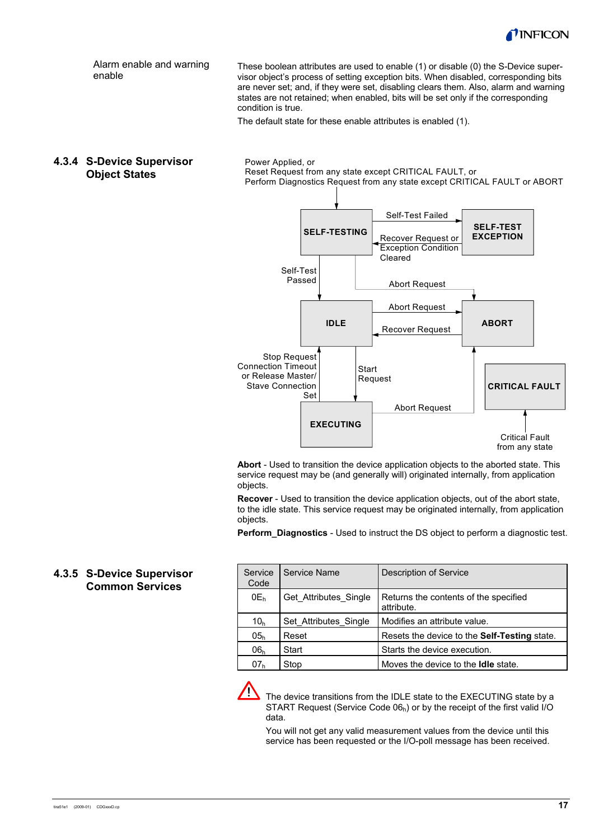

These boolean attributes are used to enable (1) or disable (0) the S-Device supervisor object's process of setting exception bits. When disabled, corresponding bits are never set; and, if they were set, disabling clears them. Also, alarm and warning states are not retained; when enabled, bits will be set only if the corresponding Alarm enable and warning enable

condition is true.

The default state for these enable attributes is enabled (1).

**4.3.4 S-Device Supervisor Object States** 

Power Applied, or Reset Request from any state except CRITICAL FAULT, or Perform Diagnostics Request from any state except CRITICAL FAULT or ABORT



**Abort** - Used to transition the device application objects to the aborted state. This service request may be (and generally will) originated internally, from application objects.

**Recover** - Used to transition the device application objects, out of the abort state, to the idle state. This service request may be originated internally, from application objects.

**Perform Diagnostics** - Used to instruct the DS object to perform a diagnostic test.

#### **4.3.5 S-Device Supervisor Common Services**

| Service<br>Code | Service Name          | Description of Service                              |
|-----------------|-----------------------|-----------------------------------------------------|
| $0E_h$          | Get Attributes Single | Returns the contents of the specified<br>attribute. |
| 10 <sub>h</sub> | Set Attributes Single | Modifies an attribute value.                        |
| 05 <sub>h</sub> | Reset                 | Resets the device to the Self-Testing state.        |
| 06 <sub>h</sub> | Start                 | Starts the device execution.                        |
| 07 <sub>h</sub> | Stop                  | Moves the device to the <b>Idle</b> state.          |



 The device transitions from the IDLE state to the EXECUTING state by a START Request (Service Code  $06<sub>h</sub>$ ) or by the receipt of the first valid I/O data.

You will not get any valid measurement values from the device until this service has been requested or the I/O-poll message has been received.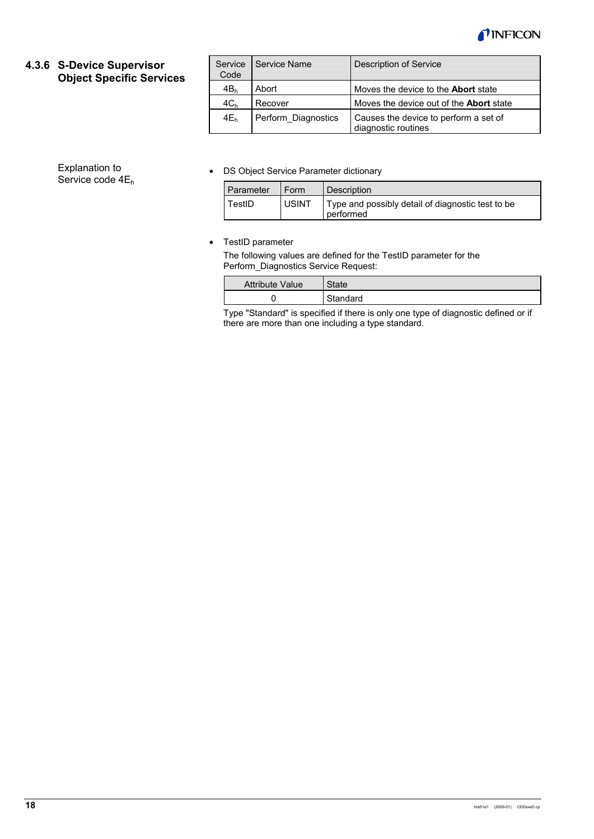

#### **4.3.6 S-Device Supervisor Object Specific Services**

| Service<br>Code | I Service Name      | Description of Service                                       |
|-----------------|---------------------|--------------------------------------------------------------|
| 4B <sub>h</sub> | Abort               | Moves the device to the <b>Abort</b> state                   |
| 4C <sub>h</sub> | Recover             | Moves the device out of the <b>Abort</b> state               |
| $4E_h$          | Perform Diagnostics | Causes the device to perform a set of<br>diagnostic routines |

#### • DS Object Service Parameter dictionary

| Parameter | Form         | Description                                                    |
|-----------|--------------|----------------------------------------------------------------|
| TestID    | <b>USINT</b> | Type and possibly detail of diagnostic test to be<br>performed |

#### • TestID parameter

The following values are defined for the TestID parameter for the Perform\_Diagnostics Service Request:

| <b>Attribute Value</b> | State    |
|------------------------|----------|
|                        | Standard |

Type "Standard" is specified if there is only one type of diagnostic defined or if there are more than one including a type standard.

#### Explanation to Service code 4E<sub>h</sub>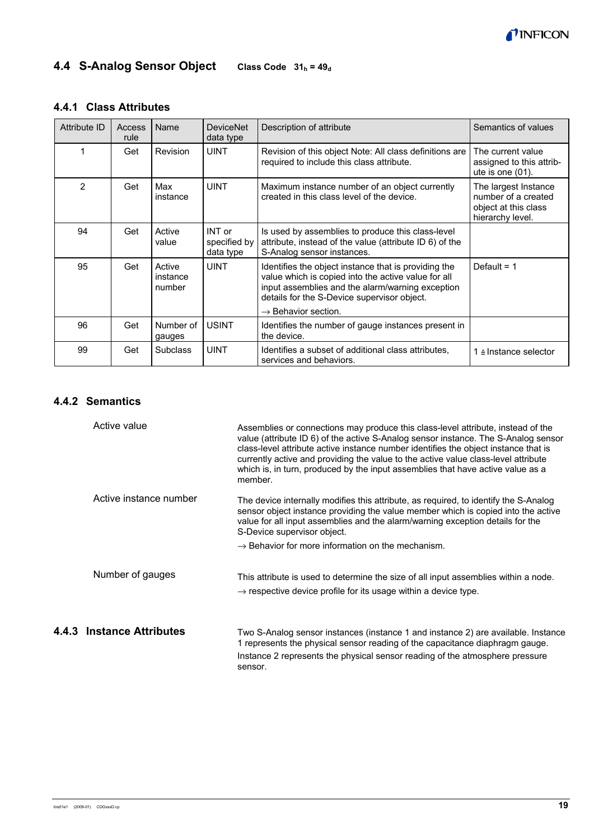

## **4.4 S-Analog Sensor Object** Class Code 31<sub>h</sub> = 49<sub>d</sub>

## **4.4.1 Class Attributes**

| Attribute ID   | Access<br>rule | Name                         | <b>DeviceNet</b><br>data type       | Description of attribute                                                                                                                                                                                                                          | Semantics of values                                                                     |
|----------------|----------------|------------------------------|-------------------------------------|---------------------------------------------------------------------------------------------------------------------------------------------------------------------------------------------------------------------------------------------------|-----------------------------------------------------------------------------------------|
|                | Get            | Revision                     | <b>UINT</b>                         | Revision of this object Note: All class definitions are<br>required to include this class attribute.                                                                                                                                              | The current value<br>assigned to this attrib-<br>ute is one $(01)$ .                    |
| $\overline{2}$ | Get            | Max<br>instance              | <b>UINT</b>                         | Maximum instance number of an object currently<br>created in this class level of the device.                                                                                                                                                      | The largest Instance<br>number of a created<br>object at this class<br>hierarchy level. |
| 94             | Get            | Active<br>value              | INT or<br>specified by<br>data type | Is used by assemblies to produce this class-level<br>attribute, instead of the value (attribute ID 6) of the<br>S-Analog sensor instances.                                                                                                        |                                                                                         |
| 95             | Get            | Active<br>instance<br>number | <b>UINT</b>                         | Identifies the object instance that is providing the<br>value which is copied into the active value for all<br>input assemblies and the alarm/warning exception<br>details for the S-Device supervisor object.<br>$\rightarrow$ Behavior section. | Default = $1$                                                                           |
| 96             | Get            | Number of<br>gauges          | <b>USINT</b>                        | Identifies the number of gauge instances present in<br>the device.                                                                                                                                                                                |                                                                                         |
| 99             | Get            | <b>Subclass</b>              | <b>UINT</b>                         | Identifies a subset of additional class attributes.<br>services and behaviors.                                                                                                                                                                    | 1 ≙ Instance selector                                                                   |

## **4.4.2 Semantics**

| Active value              | Assemblies or connections may produce this class-level attribute, instead of the<br>value (attribute ID 6) of the active S-Analog sensor instance. The S-Analog sensor<br>class-level attribute active instance number identifies the object instance that is<br>currently active and providing the value to the active value class-level attribute<br>which is, in turn, produced by the input assemblies that have active value as a<br>member. |
|---------------------------|---------------------------------------------------------------------------------------------------------------------------------------------------------------------------------------------------------------------------------------------------------------------------------------------------------------------------------------------------------------------------------------------------------------------------------------------------|
| Active instance number    | The device internally modifies this attribute, as required, to identify the S-Analog<br>sensor object instance providing the value member which is copied into the active<br>value for all input assemblies and the alarm/warning exception details for the<br>S-Device supervisor object.                                                                                                                                                        |
|                           | $\rightarrow$ Behavior for more information on the mechanism.                                                                                                                                                                                                                                                                                                                                                                                     |
| Number of gauges          | This attribute is used to determine the size of all input assemblies within a node.<br>$\rightarrow$ respective device profile for its usage within a device type.                                                                                                                                                                                                                                                                                |
| 4.4.3 Instance Attributes | Two S-Analog sensor instances (instance 1 and instance 2) are available. Instance<br>1 represents the physical sensor reading of the capacitance diaphragm gauge.<br>Instance 2 represents the physical sensor reading of the atmosphere pressure<br>sensor.                                                                                                                                                                                      |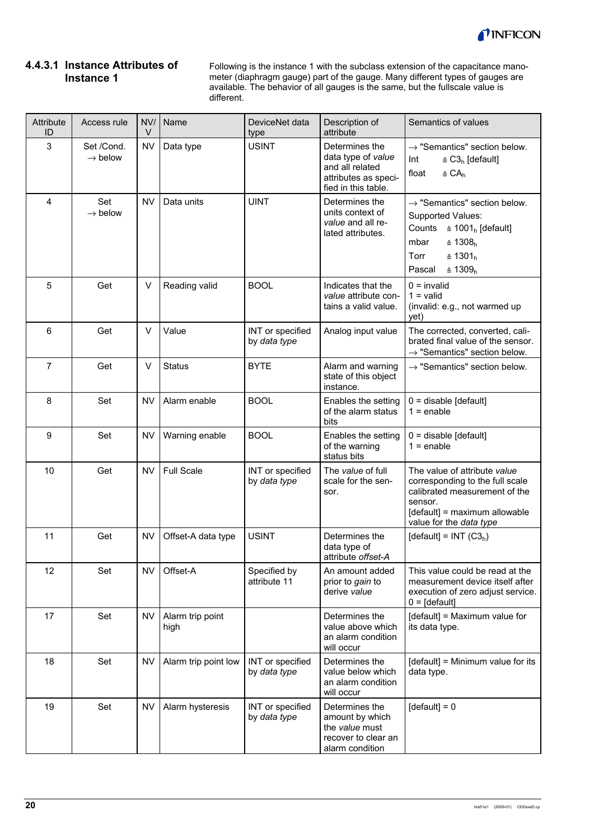

#### **4.4.3.1 Instance Attributes of Instance 1**

Following is the instance 1 with the subclass extension of the capacitance manometer (diaphragm gauge) part of the gauge. Many different types of gauges are available. The behavior of all gauges is the same, but the fullscale value is different.

| Attribute<br>ID | Access rule                       | NV/<br>V  | Name                     | DeviceNet data<br>type           | Description of<br>attribute                                                                            | Semantics of values                                                                                                                                                                                                    |
|-----------------|-----------------------------------|-----------|--------------------------|----------------------------------|--------------------------------------------------------------------------------------------------------|------------------------------------------------------------------------------------------------------------------------------------------------------------------------------------------------------------------------|
| 3               | Set /Cond.<br>$\rightarrow$ below | <b>NV</b> | Data type                | <b>USINT</b>                     | Determines the<br>data type of value<br>and all related<br>attributes as speci-<br>fied in this table. | $\rightarrow$ "Semantics" section below.<br>Int<br>$\triangle$ C3 <sub>h</sub> [default]<br>$\triangleq$ CA <sub>h</sub><br>float                                                                                      |
| 4               | Set<br>$\rightarrow$ below        | <b>NV</b> | Data units               | <b>UINT</b>                      | Determines the<br>units context of<br>value and all re-<br>lated attributes.                           | $\rightarrow$ "Semantics" section below.<br>Supported Values:<br>Counts $\triangle$ 1001 <sub>h</sub> [default]<br>$\triangleq 1308_h$<br>mbar<br>$\triangleq 1301_h$<br>Torr<br>Pascal<br>$\hat{=}$ 1309 <sub>h</sub> |
| 5               | Get                               | V         | Reading valid            | <b>BOOL</b>                      | Indicates that the<br>value attribute con-<br>tains a valid value.                                     | $0 =$ invalid<br>$1 =$ valid<br>(invalid: e.g., not warmed up<br>yet)                                                                                                                                                  |
| 6               | Get                               | V         | Value                    | INT or specified<br>by data type | Analog input value                                                                                     | The corrected, converted, cali-<br>brated final value of the sensor.<br>$\rightarrow$ "Semantics" section below.                                                                                                       |
| $\overline{7}$  | Get                               | V         | <b>Status</b>            | <b>BYTE</b>                      | Alarm and warning<br>state of this object<br>instance.                                                 | $\rightarrow$ "Semantics" section below.                                                                                                                                                                               |
| 8               | Set                               | <b>NV</b> | Alarm enable             | <b>BOOL</b>                      | Enables the setting<br>of the alarm status<br>bits                                                     | $0 =$ disable [default]<br>$1 =$ enable                                                                                                                                                                                |
| 9               | Set                               | <b>NV</b> | Warning enable           | <b>BOOL</b>                      | Enables the setting<br>of the warning<br>status bits                                                   | $0 =$ disable [default]<br>$1 =$ enable                                                                                                                                                                                |
| 10              | Get                               | <b>NV</b> | <b>Full Scale</b>        | INT or specified<br>by data type | The value of full<br>scale for the sen-<br>sor.                                                        | The value of attribute value<br>corresponding to the full scale<br>calibrated measurement of the<br>sensor.<br>[default] = maximum allowable<br>value for the data type                                                |
| 11              | Get                               | <b>NV</b> | Offset-A data type       | <b>USINT</b>                     | Determines the<br>data type of<br>attribute offset-A                                                   | [default] = INT $(C3_h)$                                                                                                                                                                                               |
| 12              | Set                               | <b>NV</b> | Offset-A                 | Specified by<br>attribute 11     | An amount added<br>prior to gain to<br>derive value                                                    | This value could be read at the<br>measurement device itself after<br>execution of zero adjust service.<br>$0 = [default]$                                                                                             |
| 17              | Set                               | NV        | Alarm trip point<br>high |                                  | Determines the<br>value above which<br>an alarm condition<br>will occur                                | [default] = Maximum value for<br>its data type.                                                                                                                                                                        |
| 18              | Set                               | <b>NV</b> | Alarm trip point low     | INT or specified<br>by data type | Determines the<br>value below which<br>an alarm condition<br>will occur                                | [default] = Minimum value for its<br>data type.                                                                                                                                                                        |
| 19              | Set                               | <b>NV</b> | Alarm hysteresis         | INT or specified<br>by data type | Determines the<br>amount by which<br>the value must<br>recover to clear an<br>alarm condition          | $[default] = 0$                                                                                                                                                                                                        |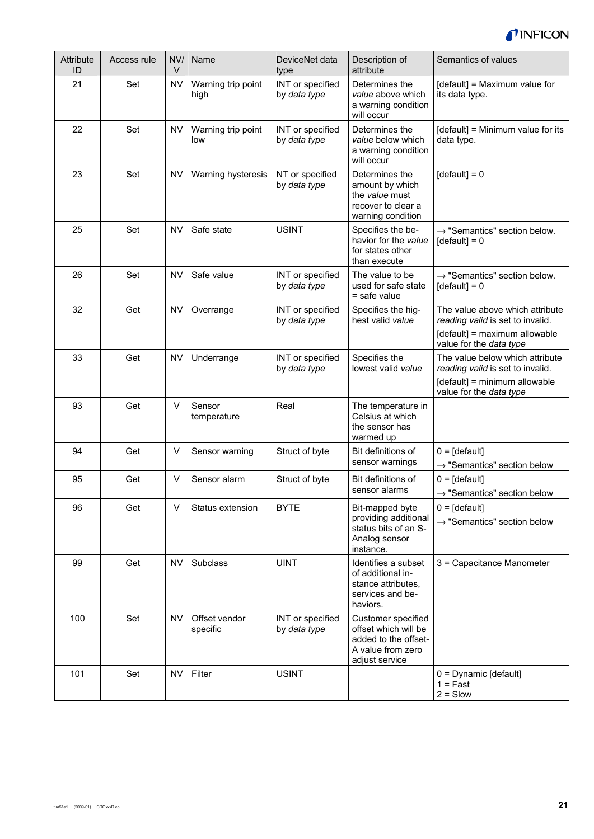

| Attribute<br>ID | Access rule | NV/<br>$\vee$ | Name                       | DeviceNet data<br>type           | Description of<br>attribute                                                                               | Semantics of values                                                                                                             |
|-----------------|-------------|---------------|----------------------------|----------------------------------|-----------------------------------------------------------------------------------------------------------|---------------------------------------------------------------------------------------------------------------------------------|
| 21              | Set         | <b>NV</b>     | Warning trip point<br>high | INT or specified<br>by data type | Determines the<br>value above which<br>a warning condition<br>will occur                                  | [default] = Maximum value for<br>its data type.                                                                                 |
| 22              | Set         | <b>NV</b>     | Warning trip point<br>low  | INT or specified<br>by data type | Determines the<br>value below which<br>a warning condition<br>will occur                                  | [default] = Minimum value for its<br>data type.                                                                                 |
| 23              | Set         | <b>NV</b>     | Warning hysteresis         | NT or specified<br>by data type  | Determines the<br>amount by which<br>the value must<br>recover to clear a<br>warning condition            | $[default] = 0$                                                                                                                 |
| 25              | Set         | <b>NV</b>     | Safe state                 | <b>USINT</b>                     | Specifies the be-<br>havior for the value<br>for states other<br>than execute                             | $\rightarrow$ "Semantics" section below.<br>$[default] = 0$                                                                     |
| 26              | Set         | <b>NV</b>     | Safe value                 | INT or specified<br>by data type | The value to be<br>used for safe state<br>$=$ safe value                                                  | $\rightarrow$ "Semantics" section below.<br>$[default] = 0$                                                                     |
| 32              | Get         | <b>NV</b>     | Overrange                  | INT or specified<br>by data type | Specifies the hig-<br>hest valid value                                                                    | The value above which attribute<br>reading valid is set to invalid.<br>[default] = maximum allowable<br>value for the data type |
| 33              | Get         | <b>NV</b>     | Underrange                 | INT or specified<br>by data type | Specifies the<br>lowest valid value                                                                       | The value below which attribute<br>reading valid is set to invalid.<br>[default] = minimum allowable<br>value for the data type |
| 93              | Get         | V             | Sensor<br>temperature      | Real                             | The temperature in<br>Celsius at which<br>the sensor has<br>warmed up                                     |                                                                                                                                 |
| 94              | Get         | V             | Sensor warning             | Struct of byte                   | Bit definitions of<br>sensor warnings                                                                     | $0 = [default]$<br>$\rightarrow$ "Semantics" section below                                                                      |
| 95              | Get         | V             | Sensor alarm               | Struct of byte                   | Bit definitions of<br>sensor alarms                                                                       | $0 = [default]$<br>$\rightarrow$ "Semantics" section below                                                                      |
| 96              | Get         | V             | Status extension           | <b>BYTE</b>                      | Bit-mapped byte<br>providing additional<br>status bits of an S-<br>Analog sensor<br>instance.             | $0 = [default]$<br>$\rightarrow$ "Semantics" section below                                                                      |
| 99              | Get         | <b>NV</b>     | Subclass                   | <b>UINT</b>                      | Identifies a subset<br>of additional in-<br>stance attributes,<br>services and be-<br>haviors.            | 3 = Capacitance Manometer                                                                                                       |
| 100             | Set         | <b>NV</b>     | Offset vendor<br>specific  | INT or specified<br>by data type | Customer specified<br>offset which will be<br>added to the offset-<br>A value from zero<br>adjust service |                                                                                                                                 |
| 101             | Set         | <b>NV</b>     | Filter                     | <b>USINT</b>                     |                                                                                                           | $0 =$ Dynamic [default]<br>$1 = Fast$<br>$2 =$ Slow                                                                             |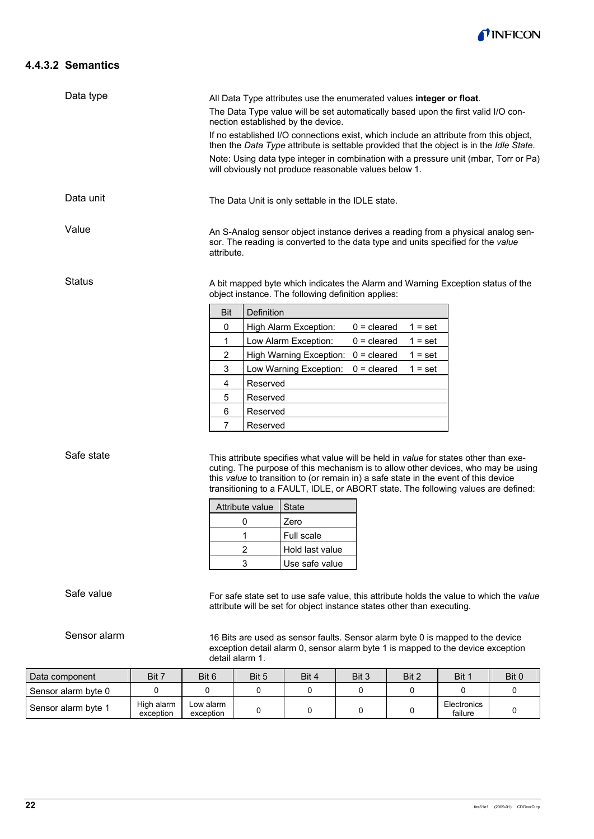

#### **4.4.3.2 Semantics**

| Data type     | All Data Type attributes use the enumerated values integer or float.<br>The Data Type value will be set automatically based upon the first valid I/O con-<br>nection established by the device.                                                                                                                                   |                                                                                                                                       |  |  |  |  |  |  |
|---------------|-----------------------------------------------------------------------------------------------------------------------------------------------------------------------------------------------------------------------------------------------------------------------------------------------------------------------------------|---------------------------------------------------------------------------------------------------------------------------------------|--|--|--|--|--|--|
|               | If no established I/O connections exist, which include an attribute from this object,<br>then the Data Type attribute is settable provided that the object is in the Idle State.<br>Note: Using data type integer in combination with a pressure unit (mbar, Torr or Pa)<br>will obviously not produce reasonable values below 1. |                                                                                                                                       |  |  |  |  |  |  |
|               |                                                                                                                                                                                                                                                                                                                                   |                                                                                                                                       |  |  |  |  |  |  |
| Data unit     | The Data Unit is only settable in the IDLE state.                                                                                                                                                                                                                                                                                 |                                                                                                                                       |  |  |  |  |  |  |
| Value         | An S-Analog sensor object instance derives a reading from a physical analog sen-<br>sor. The reading is converted to the data type and units specified for the value<br>attribute.                                                                                                                                                |                                                                                                                                       |  |  |  |  |  |  |
| <b>Status</b> |                                                                                                                                                                                                                                                                                                                                   | A bit mapped byte which indicates the Alarm and Warning Exception status of the<br>object instance. The following definition applies: |  |  |  |  |  |  |
|               | <b>Bit</b>                                                                                                                                                                                                                                                                                                                        | Definition                                                                                                                            |  |  |  |  |  |  |
|               | 0                                                                                                                                                                                                                                                                                                                                 | High Alarm Exception:<br>$0 =$ cleared<br>$1 = set$                                                                                   |  |  |  |  |  |  |
|               | 1                                                                                                                                                                                                                                                                                                                                 | Low Alarm Exception:<br>$0 =$ cleared<br>$1 = set$                                                                                    |  |  |  |  |  |  |
|               | $\overline{2}$                                                                                                                                                                                                                                                                                                                    | High Warning Exception:<br>$0 =$ cleared<br>$1 = set$                                                                                 |  |  |  |  |  |  |
|               | 3                                                                                                                                                                                                                                                                                                                                 | Low Warning Exception:<br>$0 =$ cleared<br>$1 = set$                                                                                  |  |  |  |  |  |  |
|               | 4                                                                                                                                                                                                                                                                                                                                 | Reserved                                                                                                                              |  |  |  |  |  |  |
|               | 5                                                                                                                                                                                                                                                                                                                                 | Reserved                                                                                                                              |  |  |  |  |  |  |
|               | 6                                                                                                                                                                                                                                                                                                                                 | Reserved                                                                                                                              |  |  |  |  |  |  |
|               | 7<br>Reserved                                                                                                                                                                                                                                                                                                                     |                                                                                                                                       |  |  |  |  |  |  |

Safe state

This attribute specifies what value will be held in *value* for states other than executing. The purpose of this mechanism is to allow other devices, who may be using this *value* to transition to (or remain in) a safe state in the event of this device transitioning to a FAULT, IDLE, or ABORT state. The following values are defined:

| Attribute value | <b>State</b>      |
|-----------------|-------------------|
|                 | Zero              |
|                 | <b>Full scale</b> |
|                 | Hold last value   |
| ٩               | Use safe value    |

Safe value

For safe state set to use safe value, this attribute holds the value to which the *value* attribute will be set for object instance states other than executing.

Sensor alarm

16 Bits are used as sensor faults. Sensor alarm byte 0 is mapped to the device exception detail alarm 0, sensor alarm byte 1 is mapped to the device exception detail alarm 1.

| Data component      | Bit 7                   | Bit 6                  | Bit 5 | Bit 4 | Bit 3 | Bit 2 | Bit 1                  | Bit 0 |
|---------------------|-------------------------|------------------------|-------|-------|-------|-------|------------------------|-------|
| Sensor alarm byte 0 |                         |                        |       |       |       |       |                        |       |
| Sensor alarm byte 1 | High alarm<br>exception | Low alarm<br>exception |       |       |       |       | Electronics<br>failure |       |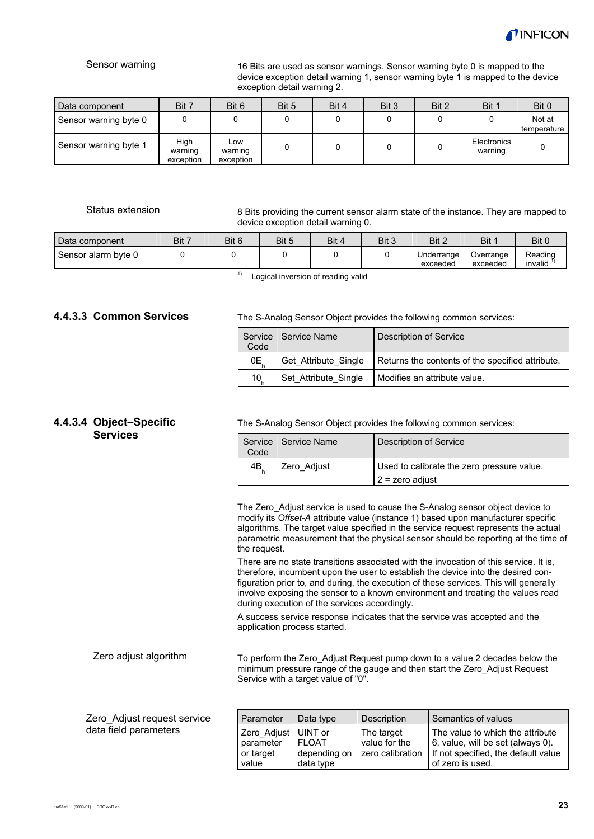

#### Sensor warning

16 Bits are used as sensor warnings. Sensor warning byte 0 is mapped to the device exception detail warning 1, sensor warning byte 1 is mapped to the device exception detail warning 2.

| Data component        | Bit 7                        | Bit 6                       | Bit 5 | Bit 4 | Bit 3 | Bit 2 | Bit 1                  | Bit 0                 |
|-----------------------|------------------------------|-----------------------------|-------|-------|-------|-------|------------------------|-----------------------|
| Sensor warning byte 0 |                              |                             |       |       |       |       |                        | Not at<br>temperature |
| Sensor warning byte 1 | Hiah<br>warning<br>exception | Low<br>warning<br>exception |       |       |       |       | Electronics<br>warning |                       |

#### Status extension

8 Bits providing the current sensor alarm state of the instance. They are mapped to device exception detail warning 0.

| Data component      | Bit 7 | Bit 6 | Bit 5 | Bit 4 | Bit 3 | Bit 2                  | Bit                   | Bit 0              |
|---------------------|-------|-------|-------|-------|-------|------------------------|-----------------------|--------------------|
| Sensor alarm byte 0 |       |       |       |       |       | Underrange<br>exceeded | Overrange<br>exceeded | Reading<br>invalid |
|                     |       |       |       |       |       |                        |                       |                    |

 $1)$  Logical inversion of reading valid

#### **4.4.3.3 Common Services**

The S-Analog Sensor Object provides the following common services:

| Code | Service   Service Name | Description of Service                           |
|------|------------------------|--------------------------------------------------|
| OE.  | Get_Attribute_Single   | Returns the contents of the specified attribute. |
| 10   | Set Attribute Single   | Modifies an attribute value.                     |

#### **4.4.3.4 Object–Specific Services**

The S-Analog Sensor Object provides the following common services:

| Code | Service   Service Name | Description of Service                                          |
|------|------------------------|-----------------------------------------------------------------|
| 4B   | Zero_Adjust            | Used to calibrate the zero pressure value.<br>$2$ = zero adjust |

The Zero Adjust service is used to cause the S-Analog sensor object device to modify its *Offset-A* attribute value (instance 1) based upon manufacturer specific algorithms. The target value specified in the service request represents the actual parametric measurement that the physical sensor should be reporting at the time of the request.

There are no state transitions associated with the invocation of this service. It is, therefore, incumbent upon the user to establish the device into the desired configuration prior to, and during, the execution of these services. This will generally involve exposing the sensor to a known environment and treating the values read during execution of the services accordingly.

A success service response indicates that the service was accepted and the application process started.

To perform the Zero\_Adjust Request pump down to a value 2 decades below the minimum pressure range of the gauge and then start the Zero\_Adjust Request Service with a target value of "0". Zero adjust algorithm

| Zero Adjust request service | Parameter             | Data type    | Description      | Semantics of values                 |
|-----------------------------|-----------------------|--------------|------------------|-------------------------------------|
| data field parameters       | Zero Adjust   UINT or |              | The target       | The value to which the attribute    |
|                             | parameter             | <b>FLOAT</b> | value for the    | 6, value, will be set (always 0).   |
|                             | or target             | depending on | zero calibration | If not specified, the default value |
|                             | value                 | data type    |                  | of zero is used.                    |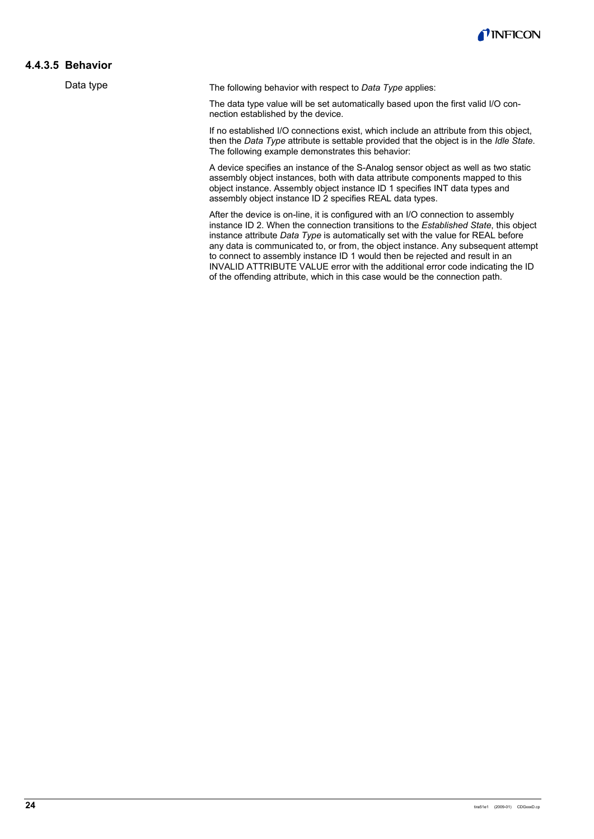

#### **4.4.3.5 Behavior**

Data type

The following behavior with respect to *Data Type* applies:

The data type value will be set automatically based upon the first valid I/O connection established by the device.

If no established I/O connections exist, which include an attribute from this object, then the *Data Type* attribute is settable provided that the object is in the *Idle State*. The following example demonstrates this behavior:

A device specifies an instance of the S-Analog sensor object as well as two static assembly object instances, both with data attribute components mapped to this object instance. Assembly object instance ID 1 specifies INT data types and assembly object instance ID 2 specifies REAL data types.

After the device is on-line, it is configured with an I/O connection to assembly instance ID 2. When the connection transitions to the *Established State*, this object instance attribute *Data Type* is automatically set with the value for REAL before any data is communicated to, or from, the object instance. Any subsequent attempt to connect to assembly instance ID 1 would then be rejected and result in an INVALID ATTRIBUTE VALUE error with the additional error code indicating the ID of the offending attribute, which in this case would be the connection path.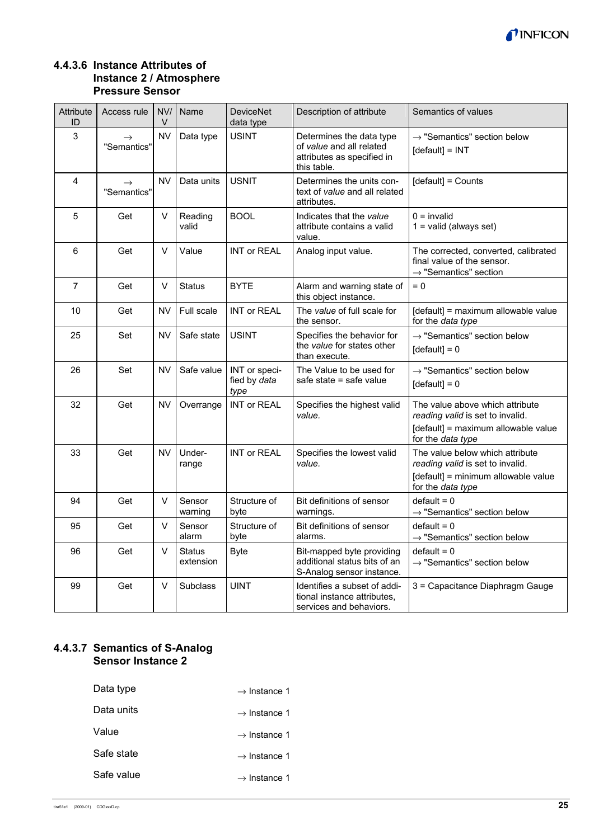

#### **4.4.3.6 Instance Attributes of Instance 2 / Atmosphere Pressure Sensor**

| Attribute<br>ID | Access rule                  | NV/<br>V  | Name                       | <b>DeviceNet</b><br>data type         | Description of attribute                                                                          | Semantics of values                                                                                                             |
|-----------------|------------------------------|-----------|----------------------------|---------------------------------------|---------------------------------------------------------------------------------------------------|---------------------------------------------------------------------------------------------------------------------------------|
| 3               | $\rightarrow$<br>"Semantics" | <b>NV</b> | Data type                  | <b>USINT</b>                          | Determines the data type<br>of value and all related<br>attributes as specified in<br>this table. | $\rightarrow$ "Semantics" section below<br>[default] = INT                                                                      |
| 4               | $\rightarrow$<br>"Semantics" | <b>NV</b> | Data units                 | <b>USNIT</b>                          | Determines the units con-<br>text of value and all related<br>attributes.                         | [default] = Counts                                                                                                              |
| 5               | Get                          | $\vee$    | Reading<br>valid           | <b>BOOL</b>                           | Indicates that the value<br>attribute contains a valid<br>value.                                  | $0 =$ invalid<br>$1 =$ valid (always set)                                                                                       |
| 6               | Get                          | $\vee$    | Value                      | <b>INT or REAL</b>                    | Analog input value.                                                                               | The corrected, converted, calibrated<br>final value of the sensor.<br>$\rightarrow$ "Semantics" section                         |
| $\overline{7}$  | Get                          | $\vee$    | <b>Status</b>              | <b>BYTE</b>                           | Alarm and warning state of<br>this object instance.                                               | $= 0$                                                                                                                           |
| 10              | Get                          | <b>NV</b> | Full scale                 | <b>INT or REAL</b>                    | The value of full scale for<br>the sensor.                                                        | [default] = maximum allowable value<br>for the data type                                                                        |
| 25              | Set                          | NV        | Safe state                 | <b>USINT</b>                          | Specifies the behavior for<br>the value for states other<br>than execute.                         | $\rightarrow$ "Semantics" section below<br>$[default] = 0$                                                                      |
| 26              | Set                          | NV        | Safe value                 | INT or speci-<br>fied by data<br>type | The Value to be used for<br>safe state = safe value                                               | $\rightarrow$ "Semantics" section below<br>$[default] = 0$                                                                      |
| 32              | Get                          | <b>NV</b> | Overrange                  | <b>INT or REAL</b>                    | Specifies the highest valid<br>value.                                                             | The value above which attribute<br>reading valid is set to invalid.<br>[default] = maximum allowable value<br>for the data type |
| 33              | Get                          | NV        | Under-<br>range            | <b>INT or REAL</b>                    | Specifies the lowest valid<br>value.                                                              | The value below which attribute<br>reading valid is set to invalid.<br>[default] = minimum allowable value<br>for the data type |
| 94              | Get                          | $\vee$    | Sensor<br>warning          | Structure of<br>byte                  | Bit definitions of sensor<br>warnings.                                                            | $default = 0$<br>$\rightarrow$ "Semantics" section below                                                                        |
| 95              | Get                          | V         | Sensor<br>alarm            | Structure of<br>byte                  | Bit definitions of sensor<br>alarms.                                                              | $default = 0$<br>$\rightarrow$ "Semantics" section below                                                                        |
| 96              | Get                          | $\vee$    | <b>Status</b><br>extension | <b>Byte</b>                           | Bit-mapped byte providing<br>additional status bits of an<br>S-Analog sensor instance.            | $default = 0$<br>$\rightarrow$ "Semantics" section below                                                                        |
| 99              | Get                          | $\vee$    | <b>Subclass</b>            | <b>UINT</b>                           | Identifies a subset of addi-<br>tional instance attributes,<br>services and behaviors.            | 3 = Capacitance Diaphragm Gauge                                                                                                 |

## **4.4.3.7 Semantics of S-Analog Sensor Instance 2**

| Data type  | $\rightarrow$ Instance 1 |
|------------|--------------------------|
| Data units | $\rightarrow$ Instance 1 |
| Value      | $\rightarrow$ Instance 1 |
| Safe state | $\rightarrow$ Instance 1 |
| Safe value | $\rightarrow$ Instance 1 |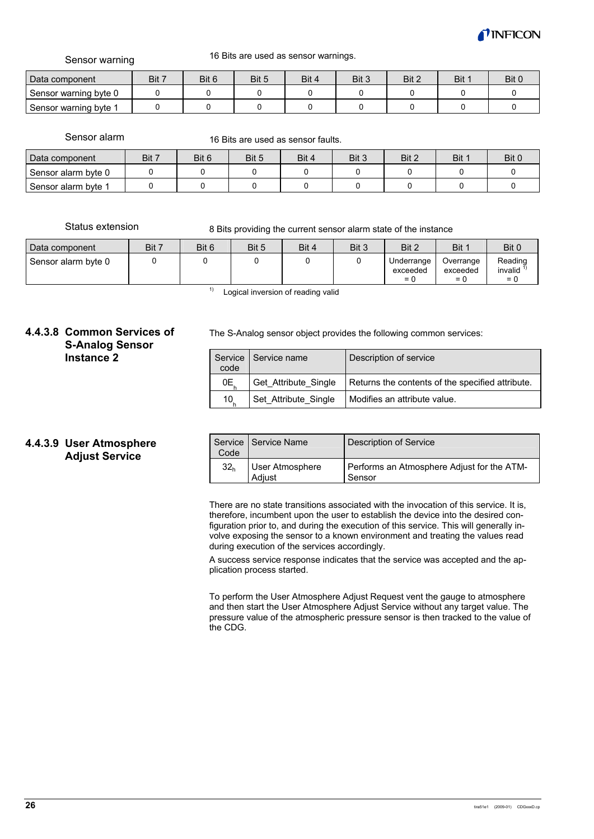

Sensor warning

16 Bits are used as sensor warnings.

| Data component        | Bit 7 | Bit 6 | Bit 5 | Bit 4 | Bit 3 | Bit 2 | Bit 1 | Bit 0 |
|-----------------------|-------|-------|-------|-------|-------|-------|-------|-------|
| Sensor warning byte 0 |       |       |       |       |       |       |       |       |
| Sensor warning byte   |       |       |       |       |       |       |       |       |

Sensor alarm

16 Bits are used as sensor faults.

| Data component      | Bit 7 | Bit 6 | Bit 5 | Bit 4 | Bit 3 | Bit 2 | Bit 1 | Bit 0 |
|---------------------|-------|-------|-------|-------|-------|-------|-------|-------|
| Sensor alarm byte 0 |       |       |       |       |       |       |       |       |
| Sensor alarm byte   |       |       |       |       |       |       |       |       |

Status extension

8 Bits providing the current sensor alarm state of the instance

| Data component      | Bit 7 | Bit 6 | Bit 5 | Bit 4 | Bit 3 | Bit 2                           | Bit 1                          | Bit 0                       |
|---------------------|-------|-------|-------|-------|-------|---------------------------------|--------------------------------|-----------------------------|
| Sensor alarm byte 0 |       |       |       |       |       | Underrange<br>exceeded<br>$= 1$ | Overrange<br>exceeded<br>$= 0$ | Reading<br>invalid<br>$= 0$ |

 $1)$  Logical inversion of reading valid

#### **4.4.3.8 Common Services of S-Analog Sensor Instance 2**

The S-Analog sensor object provides the following common services:

| code            | Service   Service name | Description of service                           |
|-----------------|------------------------|--------------------------------------------------|
| 0E,             | Get Attribute Single   | Returns the contents of the specified attribute. |
| 10 <sub>1</sub> | Set Attribute Single   | Modifies an attribute value.                     |

#### **4.4.3.9 User Atmosphere Adjust Service**

| Code            | Service   Service Name    | Description of Service                               |  |  |
|-----------------|---------------------------|------------------------------------------------------|--|--|
| 32 <sub>h</sub> | User Atmosphere<br>Adiust | Performs an Atmosphere Adjust for the ATM-<br>Sensor |  |  |

There are no state transitions associated with the invocation of this service. It is, therefore, incumbent upon the user to establish the device into the desired configuration prior to, and during the execution of this service. This will generally involve exposing the sensor to a known environment and treating the values read during execution of the services accordingly.

A success service response indicates that the service was accepted and the application process started.

To perform the User Atmosphere Adjust Request vent the gauge to atmosphere and then start the User Atmosphere Adjust Service without any target value. The pressure value of the atmospheric pressure sensor is then tracked to the value of the CDG.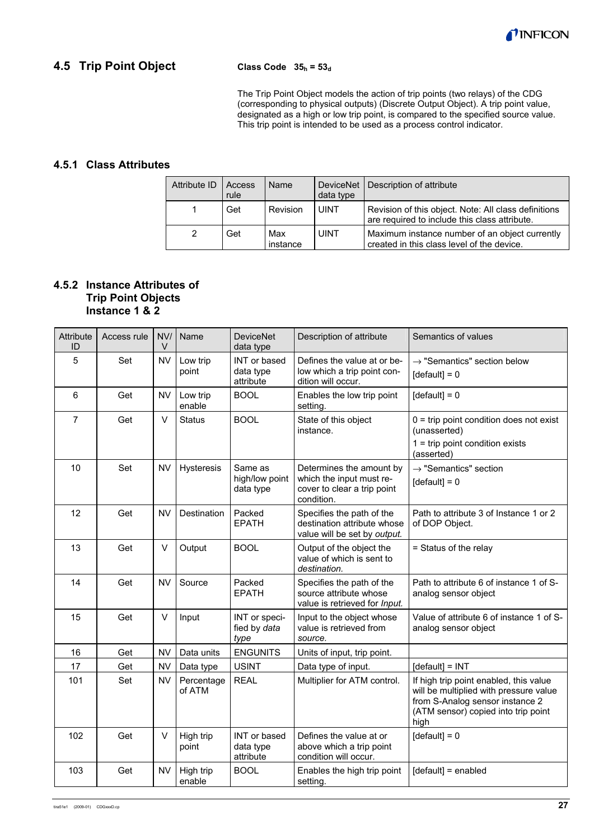

## **4.5 Trip Point Object**

#### **Class Code 35h = 53d**

The Trip Point Object models the action of trip points (two relays) of the CDG (corresponding to physical outputs) (Discrete Output Object). A trip point value, designated as a high or low trip point, is compared to the specified source value. This trip point is intended to be used as a process control indicator.

#### **4.5.1 Class Attributes**

| Attribute ID | Access<br>rule | Name            | data type   | DeviceNet   Description of attribute                                                                  |
|--------------|----------------|-----------------|-------------|-------------------------------------------------------------------------------------------------------|
|              | Get            | Revision        | <b>UINT</b> | Revision of this object. Note: All class definitions<br>are required to include this class attribute. |
| 2            | Get            | Max<br>instance | UINT        | Maximum instance number of an object currently<br>created in this class level of the device.          |

#### **4.5.2 Instance Attributes of Trip Point Objects Instance 1 & 2**

| Attribute<br>ID | Access rule | NVI<br>V  | Name                 | <b>DeviceNet</b><br>data type          | Description of attribute                                                                          | Semantics of values                                                                                                                                                |
|-----------------|-------------|-----------|----------------------|----------------------------------------|---------------------------------------------------------------------------------------------------|--------------------------------------------------------------------------------------------------------------------------------------------------------------------|
| 5               | Set         | <b>NV</b> | Low trip<br>point    | INT or based<br>data type<br>attribute | Defines the value at or be-<br>low which a trip point con-<br>dition will occur.                  | $\rightarrow$ "Semantics" section below<br>$[default] = 0$                                                                                                         |
| 6               | Get         | <b>NV</b> | Low trip<br>enable   | <b>BOOL</b>                            | Enables the low trip point<br>setting.                                                            | $[default] = 0$                                                                                                                                                    |
| $\overline{7}$  | Get         | $\vee$    | <b>Status</b>        | <b>BOOL</b>                            | State of this object<br>instance.                                                                 | $0 =$ trip point condition does not exist<br>(unasserted)<br>$1 =$ trip point condition exists<br>(asserted)                                                       |
| 10              | Set         | <b>NV</b> | Hysteresis           | Same as<br>high/low point<br>data type | Determines the amount by<br>which the input must re-<br>cover to clear a trip point<br>condition. | $\rightarrow$ "Semantics" section<br>$[default] = 0$                                                                                                               |
| 12              | Get         | <b>NV</b> | Destination          | Packed<br><b>EPATH</b>                 | Specifies the path of the<br>destination attribute whose<br>value will be set by output.          | Path to attribute 3 of Instance 1 or 2<br>of DOP Object.                                                                                                           |
| 13              | Get         | $\vee$    | Output               | <b>BOOL</b>                            | Output of the object the<br>value of which is sent to<br>destination.                             | = Status of the relay                                                                                                                                              |
| 14              | Get         | <b>NV</b> | Source               | Packed<br><b>EPATH</b>                 | Specifies the path of the<br>source attribute whose<br>value is retrieved for Input.              | Path to attribute 6 of instance 1 of S-<br>analog sensor object                                                                                                    |
| 15              | Get         | $\vee$    | Input                | INT or speci-<br>fied by data<br>type  | Input to the object whose<br>value is retrieved from<br>source.                                   | Value of attribute 6 of instance 1 of S-<br>analog sensor object                                                                                                   |
| 16              | Get         | <b>NV</b> | Data units           | <b>ENGUNITS</b>                        | Units of input, trip point.                                                                       |                                                                                                                                                                    |
| 17              | Get         | <b>NV</b> | Data type            | <b>USINT</b>                           | Data type of input.                                                                               | [default] = INT                                                                                                                                                    |
| 101             | Set         | <b>NV</b> | Percentage<br>of ATM | <b>REAL</b>                            | Multiplier for ATM control.                                                                       | If high trip point enabled, this value<br>will be multiplied with pressure value<br>from S-Analog sensor instance 2<br>(ATM sensor) copied into trip point<br>high |
| 102             | Get         | V         | High trip<br>point   | INT or based<br>data type<br>attribute | Defines the value at or<br>above which a trip point<br>condition will occur.                      | $[default] = 0$                                                                                                                                                    |
| 103             | Get         | <b>NV</b> | High trip<br>enable  | <b>BOOL</b>                            | Enables the high trip point<br>setting.                                                           | [default] = enabled                                                                                                                                                |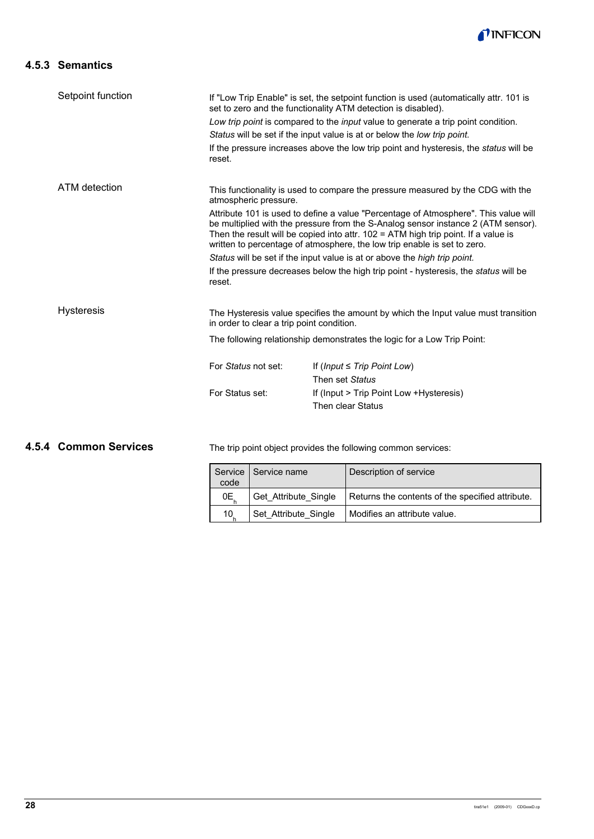

## **4.5.3 Semantics**

| Setpoint function | If "Low Trip Enable" is set, the setpoint function is used (automatically attr. 101 is<br>set to zero and the functionality ATM detection is disabled).<br>Low trip point is compared to the input value to generate a trip point condition.<br>Status will be set if the input value is at or below the low trip point.<br>If the pressure increases above the low trip point and hysteresis, the <i>status</i> will be<br>reset. |                                                                                             |  |  |  |  |
|-------------------|------------------------------------------------------------------------------------------------------------------------------------------------------------------------------------------------------------------------------------------------------------------------------------------------------------------------------------------------------------------------------------------------------------------------------------|---------------------------------------------------------------------------------------------|--|--|--|--|
| ATM detection     | This functionality is used to compare the pressure measured by the CDG with the<br>atmospheric pressure.                                                                                                                                                                                                                                                                                                                           |                                                                                             |  |  |  |  |
|                   | Attribute 101 is used to define a value "Percentage of Atmosphere". This value will<br>be multiplied with the pressure from the S-Analog sensor instance 2 (ATM sensor).<br>Then the result will be copied into attr. $102 = ATM$ high trip point. If a value is<br>written to percentage of atmosphere, the low trip enable is set to zero.                                                                                       |                                                                                             |  |  |  |  |
|                   | Status will be set if the input value is at or above the high trip point.                                                                                                                                                                                                                                                                                                                                                          |                                                                                             |  |  |  |  |
|                   | reset.                                                                                                                                                                                                                                                                                                                                                                                                                             | If the pressure decreases below the high trip point - hysteresis, the <i>status</i> will be |  |  |  |  |
| <b>Hysteresis</b> | The Hysteresis value specifies the amount by which the Input value must transition<br>in order to clear a trip point condition.                                                                                                                                                                                                                                                                                                    |                                                                                             |  |  |  |  |
|                   |                                                                                                                                                                                                                                                                                                                                                                                                                                    | The following relationship demonstrates the logic for a Low Trip Point:                     |  |  |  |  |
|                   | For Status not set:                                                                                                                                                                                                                                                                                                                                                                                                                | If (Input $\leq$ Trip Point Low)<br>Then set Status                                         |  |  |  |  |
|                   | For Status set:                                                                                                                                                                                                                                                                                                                                                                                                                    | If (Input > Trip Point Low + Hysteresis)<br>Then clear Status                               |  |  |  |  |

#### **4.5.4 Common Services**

The trip point object provides the following common services:

| code            | Service   Service name | Description of service                           |
|-----------------|------------------------|--------------------------------------------------|
| 0E.             | Get Attribute Single   | Returns the contents of the specified attribute. |
| 10 <sub>1</sub> | Set Attribute Single   | Modifies an attribute value.                     |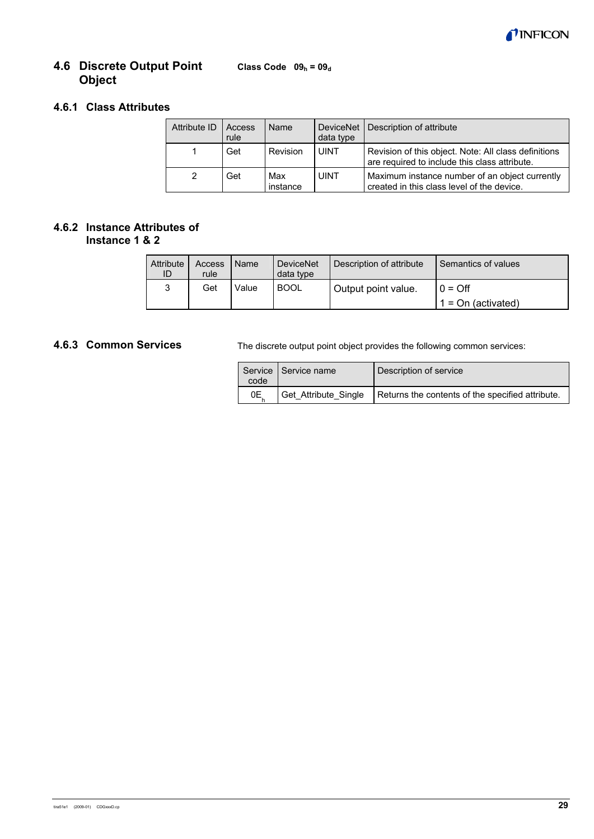

#### **Class Code**  $09_h = 09_d$ **4.6 Discrete Output Point Object**

## **4.6.1 Class Attributes**

| Attribute ID  | Access<br>rule | Name            | data type   | DeviceNet   Description of attribute                                                                  |
|---------------|----------------|-----------------|-------------|-------------------------------------------------------------------------------------------------------|
|               | Get            | Revision        | <b>UINT</b> | Revision of this object. Note: All class definitions<br>are required to include this class attribute. |
| $\mathcal{P}$ | Get            | Max<br>instance | <b>UINT</b> | Maximum instance number of an object currently<br>created in this class level of the device.          |

#### **4.6.2 Instance Attributes of Instance 1 & 2**

| Attribute<br>ID | Access<br>rule | Name  | <b>DeviceNet</b><br>data type | Description of attribute | Semantics of values  |
|-----------------|----------------|-------|-------------------------------|--------------------------|----------------------|
| 3               | Get            | Value | <b>BOOL</b>                   | Output point value.      | $\cap$ = Off         |
|                 |                |       |                               |                          | $1 = On$ (activated) |

## **4.6.3 Common Services**

The discrete output point object provides the following common services:

| code | Service   Service name | Description of service                           |
|------|------------------------|--------------------------------------------------|
| 0Е   | Get_Attribute_Single   | Returns the contents of the specified attribute. |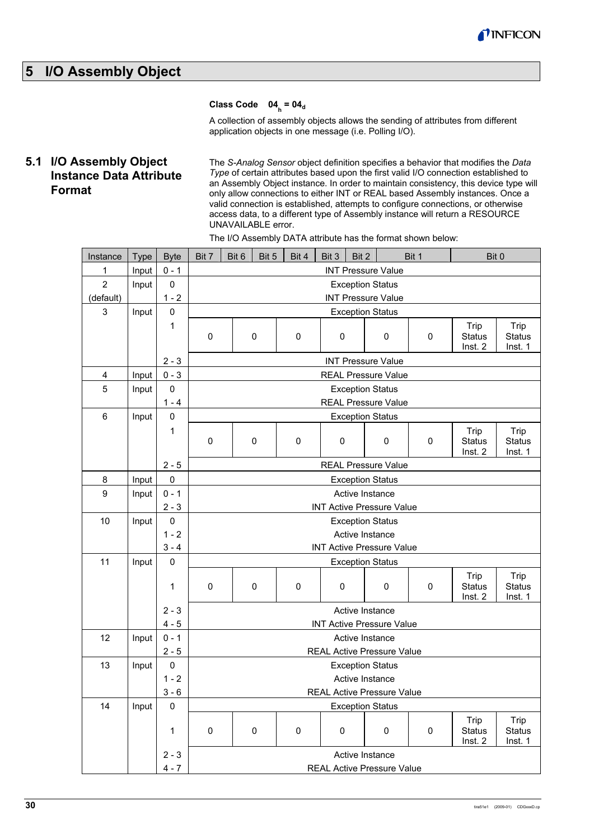

## **5 I/O Assembly Object**

## Class Code 04<sub>h</sub> = 04<sub>d</sub>

A collection of assembly objects allows the sending of attributes from different application objects in one message (i.e. Polling I/O).

## **5.1 I/O Assembly Object Instance Data Attribute Format**

The *S-Analog Sensor* object definition specifies a behavior that modifies the *Data Type* of certain attributes based upon the first valid I/O connection established to an Assembly Object instance. In order to maintain consistency, this device type will only allow connections to either INT or REAL based Assembly instances. Once a valid connection is established, attempts to configure connections, or otherwise access data, to a different type of Assembly instance will return a RESOURCE UNAVAILABLE error.

| Instance       | <b>Type</b> | <b>Byte</b> | Bit 7       | Bit 6                      | Bit 5 | Bit 4     | Bit 3     | Bit 2 |                                  | Bit 1     | Bit 0                    |                          |
|----------------|-------------|-------------|-------------|----------------------------|-------|-----------|-----------|-------|----------------------------------|-----------|--------------------------|--------------------------|
| 1              | Input       | $0 - 1$     |             |                            |       |           |           |       | <b>INT Pressure Value</b>        |           |                          |                          |
| $\overline{2}$ | Input       | 0           |             | <b>Exception Status</b>    |       |           |           |       |                                  |           |                          |                          |
| (default)      |             | $1 - 2$     |             | <b>INT Pressure Value</b>  |       |           |           |       |                                  |           |                          |                          |
| 3              | Input       | $\pmb{0}$   |             |                            |       |           |           |       | <b>Exception Status</b>          |           |                          |                          |
|                |             | 1           |             |                            |       |           |           |       |                                  |           | Trip                     | Trip                     |
|                |             |             | $\mathbf 0$ |                            | 0     | 0         | $\pmb{0}$ |       | 0                                | 0         | <b>Status</b>            | <b>Status</b>            |
|                |             |             |             |                            |       |           |           |       |                                  |           | Inst. 2                  | Inst. 1                  |
|                |             | $2 - 3$     |             |                            |       |           |           |       | <b>INT Pressure Value</b>        |           |                          |                          |
| 4              | Input       | $0 - 3$     |             |                            |       |           |           |       | <b>REAL Pressure Value</b>       |           |                          |                          |
| 5              | Input       | $\pmb{0}$   |             |                            |       |           |           |       | <b>Exception Status</b>          |           |                          |                          |
|                |             | $1 - 4$     |             |                            |       |           |           |       | <b>REAL Pressure Value</b>       |           |                          |                          |
| 6              | Input       | $\pmb{0}$   |             |                            |       |           |           |       | <b>Exception Status</b>          |           |                          |                          |
|                |             | 1           | $\mathbf 0$ |                            | 0     | 0         | $\pmb{0}$ |       | 0                                | 0         | Trip<br><b>Status</b>    | Trip<br><b>Status</b>    |
|                |             |             |             |                            |       |           |           |       |                                  |           | Inst. 2                  | Inst. 1                  |
|                |             | $2 - 5$     |             | <b>REAL Pressure Value</b> |       |           |           |       |                                  |           |                          |                          |
| 8              | Input       | $\pmb{0}$   |             | <b>Exception Status</b>    |       |           |           |       |                                  |           |                          |                          |
| 9              | Input       | $0 - 1$     |             |                            |       |           |           |       | Active Instance                  |           |                          |                          |
|                |             | $2 - 3$     |             |                            |       |           |           |       | <b>INT Active Pressure Value</b> |           |                          |                          |
| 10             | Input       | $\pmb{0}$   |             |                            |       |           |           |       | <b>Exception Status</b>          |           |                          |                          |
|                |             | $1 - 2$     |             |                            |       |           |           |       | Active Instance                  |           |                          |                          |
|                |             | $3 - 4$     |             |                            |       |           |           |       | <b>INT Active Pressure Value</b> |           |                          |                          |
| 11             | Input       | $\pmb{0}$   |             |                            |       |           |           |       | <b>Exception Status</b>          |           |                          |                          |
|                |             |             |             |                            |       |           |           |       |                                  |           | Trip                     | Trip                     |
|                |             | 1           | 0           |                            | 0     | $\pmb{0}$ | $\pmb{0}$ |       | 0                                | $\pmb{0}$ | <b>Status</b><br>Inst. 2 | <b>Status</b><br>Inst. 1 |
|                |             | $2 - 3$     |             |                            |       |           |           |       | Active Instance                  |           |                          |                          |
|                |             | $4 - 5$     |             |                            |       |           |           |       | <b>INT Active Pressure Value</b> |           |                          |                          |
| 12             | Input       | $0 - 1$     |             |                            |       |           |           |       | Active Instance                  |           |                          |                          |
|                |             | $2 - 5$     |             |                            |       |           |           |       | REAL Active Pressure Value       |           |                          |                          |
| 13             | Input       | $\pmb{0}$   |             |                            |       |           |           |       | <b>Exception Status</b>          |           |                          |                          |
|                |             | $1 - 2$     |             |                            |       |           |           |       | Active Instance                  |           |                          |                          |
|                |             | $3 - 6$     |             |                            |       |           |           |       | REAL Active Pressure Value       |           |                          |                          |
| 14             | Input       | $\pmb{0}$   |             |                            |       |           |           |       | <b>Exception Status</b>          |           |                          |                          |
|                |             |             |             |                            |       |           |           |       |                                  |           | Trip                     | Trip                     |
|                |             | $\mathbf 1$ | $\pmb{0}$   |                            | 0     | $\pmb{0}$ | $\pmb{0}$ |       | $\pmb{0}$                        | $\pmb{0}$ | <b>Status</b>            | <b>Status</b>            |
|                |             |             |             |                            |       |           |           |       |                                  |           | Inst. 2                  | Inst. 1                  |
|                |             | $2 - 3$     |             |                            |       |           |           |       | Active Instance                  |           |                          |                          |
|                |             | $4 - 7$     |             |                            |       |           |           |       | REAL Active Pressure Value       |           |                          |                          |

The I/O Assembly DATA attribute has the format shown below:

 $\overline{\phantom{a}}$ 

 $\blacksquare$ 

 $\overline{\phantom{a}}$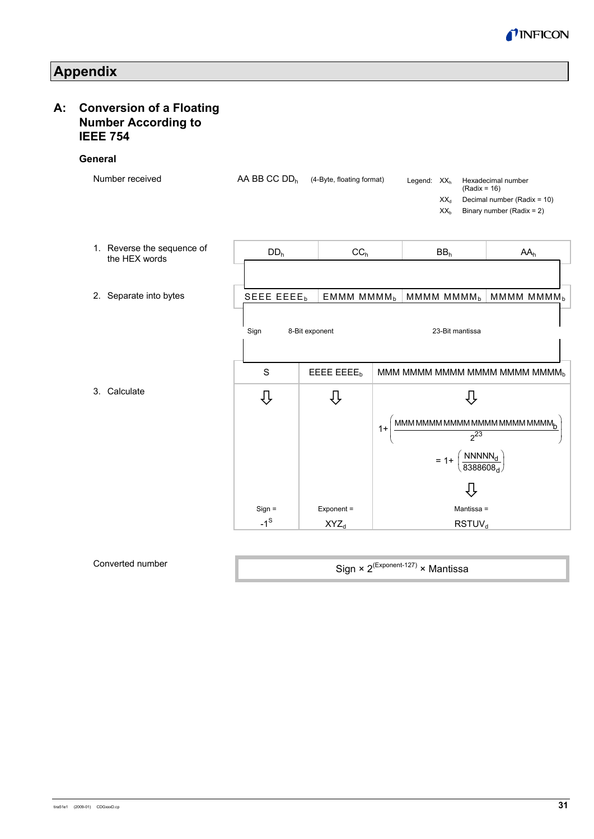

**Appendix** 

## **A: Conversion of a Floating Number According to IEEE 754**

#### **Gen**

| eneral                                      |                          |                           |      |                |                                                      |                                                                                                                                                                                                            |
|---------------------------------------------|--------------------------|---------------------------|------|----------------|------------------------------------------------------|------------------------------------------------------------------------------------------------------------------------------------------------------------------------------------------------------------|
| Number received                             | AA BB CC DD <sub>h</sub> | (4-Byte, floating format) |      | Legend: $XX_h$ | $(Radix = 16)$<br>$XX_{d}$<br>XX <sub>b</sub>        | Hexadecimal number<br>Decimal number (Radix = 10)<br>Binary number (Radix = 2)                                                                                                                             |
| 1. Reverse the sequence of<br>the HEX words | DD <sub>h</sub>          | CC <sub>h</sub>           |      |                | BB <sub>h</sub>                                      | AA <sub>h</sub>                                                                                                                                                                                            |
| 2. Separate into bytes                      | SEEE EEEEb               | EMMM MMMM <sub>b</sub>    |      |                | MMMM MMMM <sub>b</sub>                               | MMMM MMMM <sub>b</sub>                                                                                                                                                                                     |
|                                             | Sign                     | 8-Bit exponent            |      |                | 23-Bit mantissa                                      |                                                                                                                                                                                                            |
|                                             | S                        | EEEE EEEEb                |      |                |                                                      | MMM MMMM MMMM MMMM MMMMM MMMM <sub>b</sub>                                                                                                                                                                 |
| 3. Calculate                                | ⇩                        |                           |      |                |                                                      |                                                                                                                                                                                                            |
|                                             |                          |                           | $1+$ |                | $2^{23}$                                             | $\mathop{\rm MMM}\nolimits\mathop{\rm MMM}\nolimits\mathop{\rm MMM}\nolimits\mathop{\rm MMM}\nolimits\mathop{\rm MMM}\nolimits\mathop{\rm MMM}\nolimits\mathop{\rm MMM}\nolimits\mathop{\rm MMM}\nolimits$ |
|                                             |                          |                           |      |                | = 1+ $\left(\frac{\text{NNNNN}_d}{8388608_d}\right)$ |                                                                                                                                                                                                            |
|                                             |                          |                           |      |                | IJ                                                   |                                                                                                                                                                                                            |
|                                             | $Sign =$                 | Exponent =                |      |                | Mantissa =                                           |                                                                                                                                                                                                            |
|                                             | $-1^\text{s}$            | $XYZ_d$                   |      |                | <b>RSTUV<sub>d</sub></b>                             |                                                                                                                                                                                                            |
|                                             |                          |                           |      |                |                                                      |                                                                                                                                                                                                            |

#### Converted number

Sign × 2(Exponent-127) × Mantissa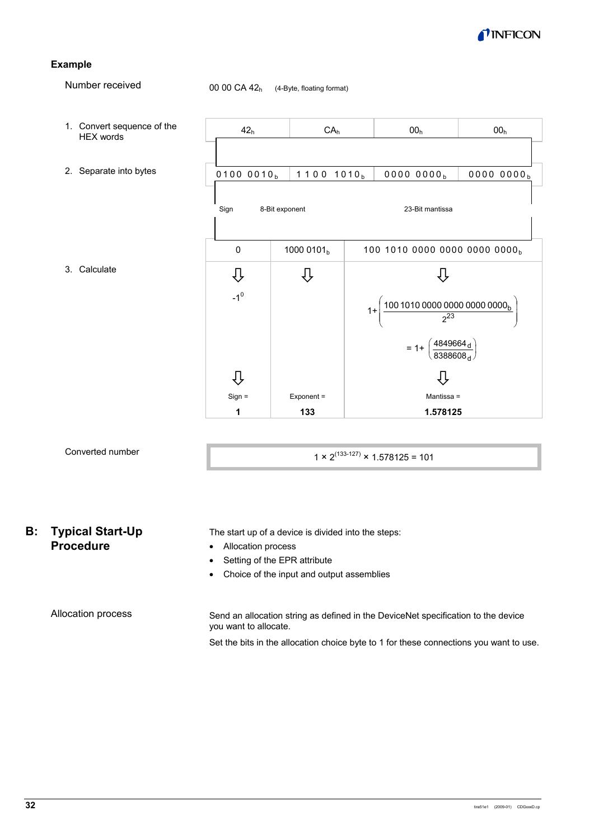

#### **Example**

Number received

00 00 CA  $42<sub>h</sub>$  (4-Byte, floating format)



## Converted number

1 × 2<sup>(133-127)</sup> × 1.578125 = 101

## **B: Typical Start-Up Procedure**

• Allocation process

- Setting of the EPR attribute
- Choice of the input and output assemblies

The start up of a device is divided into the steps:

Allocation process

Send an allocation string as defined in the DeviceNet specification to the device you want to allocate.

Set the bits in the allocation choice byte to 1 for these connections you want to use.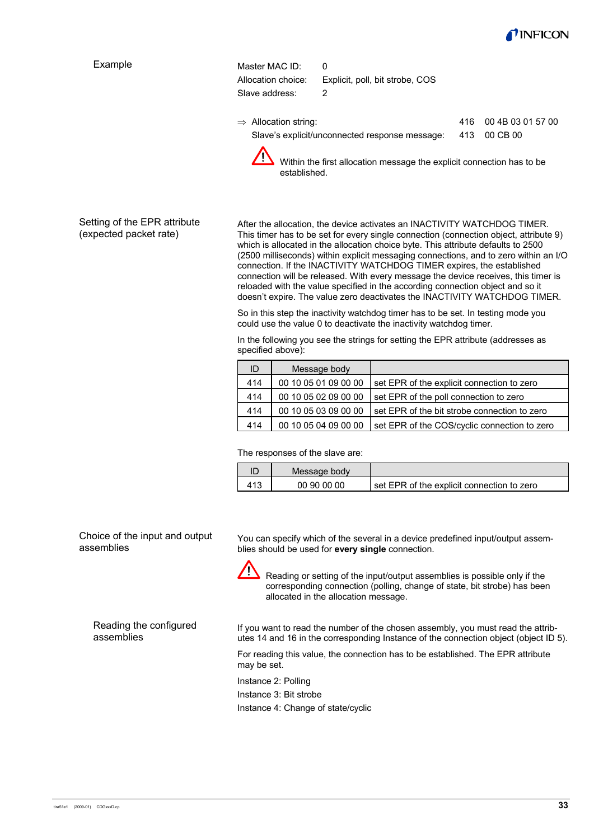

| Example | Master MAC ID:<br>0                                                                   |     |                   |
|---------|---------------------------------------------------------------------------------------|-----|-------------------|
|         | Allocation choice:<br>Explicit, poll, bit strobe, COS                                 |     |                   |
|         | Slave address:<br>2                                                                   |     |                   |
|         | $\Rightarrow$ Allocation string:                                                      | 416 | 00 4B 03 01 57 00 |
|         | Slave's explicit/unconnected response message:                                        | 413 | 00 CB 00          |
|         | Within the first allocation message the explicit connection has to be<br>established. |     |                   |

Setting of the EPR attribute (expected packet rate)

After the allocation, the device activates an INACTIVITY WATCHDOG TIMER. This timer has to be set for every single connection (connection object, attribute 9) which is allocated in the allocation choice byte. This attribute defaults to 2500 (2500 milliseconds) within explicit messaging connections, and to zero within an I/O connection. If the INACTIVITY WATCHDOG TIMER expires, the established connection will be released. With every message the device receives, this timer is reloaded with the value specified in the according connection object and so it doesn't expire. The value zero deactivates the INACTIVITY WATCHDOG TIMER.

So in this step the inactivity watchdog timer has to be set. In testing mode you could use the value 0 to deactivate the inactivity watchdog timer.

In the following you see the strings for setting the EPR attribute (addresses as specified above):

| ID  | Message body         |                                              |
|-----|----------------------|----------------------------------------------|
| 414 | 00 10 05 01 09 00 00 | set EPR of the explicit connection to zero   |
| 414 | 00 10 05 02 09 00 00 | set EPR of the poll connection to zero       |
| 414 | 00 10 05 03 09 00 00 | set EPR of the bit strobe connection to zero |
| 414 | 00 10 05 04 09 00 00 | set EPR of the COS/cyclic connection to zero |

The responses of the slave are:

| ID | Message body |                                              |
|----|--------------|----------------------------------------------|
|    | 00 90 00 00  | I set EPR of the explicit connection to zero |

Choice of the input and output assemblies

You can specify which of the several in a device predefined input/output assemblies should be used for **every single** connection.



Reading or setting of the input/output assemblies is possible only if the corresponding connection (polling, change of state, bit strobe) has been allocated in the allocation message.

Reading the configured assemblies

If you want to read the number of the chosen assembly, you must read the attributes 14 and 16 in the corresponding Instance of the connection object (object ID 5).

For reading this value, the connection has to be established. The EPR attribute may be set.

Instance 2: Polling

Instance 3: Bit strobe

Instance 4: Change of state/cyclic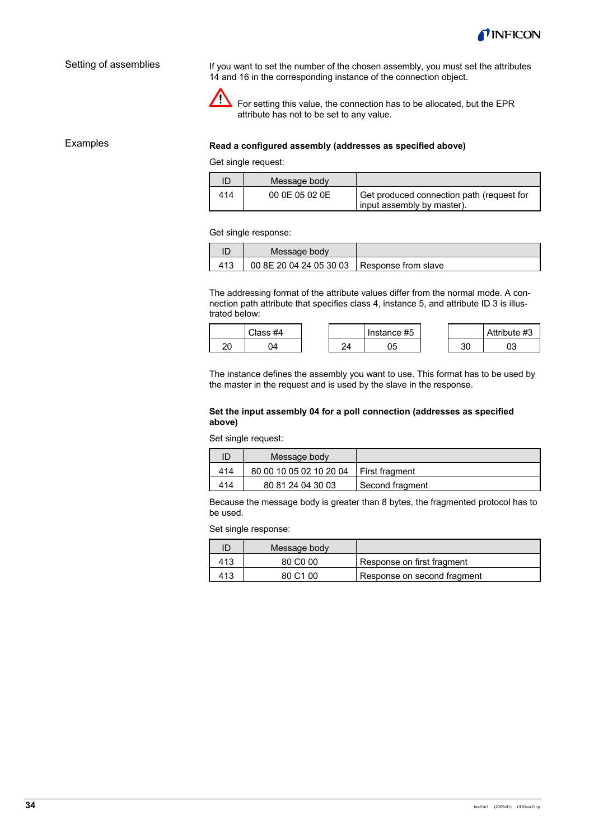

#### Setting of assemblies

If you want to set the number of the chosen assembly, you must set the attributes 14 and 16 in the corresponding instance of the connection object.



 $\sum$  For setting this value, the connection has to be allocated, but the EPR attribute has not to be set to any value.

Examples

#### **Read a configured assembly (addresses as specified above)**

Get single request:

|     | Message body   |                                                                           |
|-----|----------------|---------------------------------------------------------------------------|
| 414 | 00 0E 05 02 0E | Get produced connection path (request for<br>I input assembly by master). |

#### Get single response:

| Message body                                  |  |
|-----------------------------------------------|--|
| 00 8E 20 04 24 05 30 03   Response from slave |  |

The addressing format of the attribute values differ from the normal mode. A connection path attribute that specifies class 4, instance 5, and attribute ID 3 is illustrated below:

|    | Class #4 |   | Instance #5 |           | Attribute #3 |
|----|----------|---|-------------|-----------|--------------|
| חה |          | ົ |             | or.<br>JΟ |              |

The instance defines the assembly you want to use. This format has to be used by the master in the request and is used by the slave in the response.

#### **Set the input assembly 04 for a poll connection (addresses as specified above)**

Set single request:

|     | Message body                             |                 |
|-----|------------------------------------------|-----------------|
| 414 | 80 00 10 05 02 10 20 04   First fragment |                 |
| 414 | 80 81 24 04 30 03                        | Second fragment |

Because the message body is greater than 8 bytes, the fragmented protocol has to be used.

Set single response:

|     | Message body         |                             |
|-----|----------------------|-----------------------------|
| 413 | 80 C <sub>0</sub> 00 | Response on first fragment  |
| 413 | 80 C <sub>1</sub> 00 | Response on second fragment |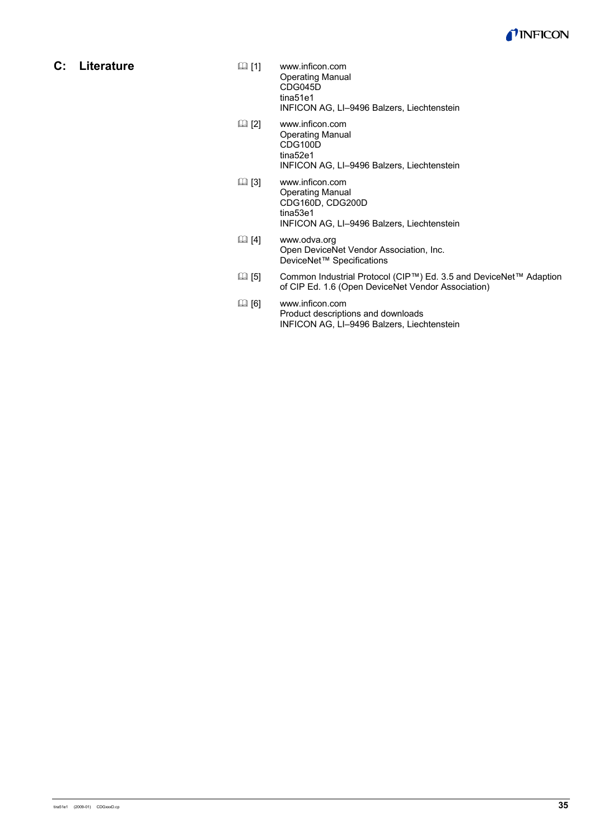

**C: Literature** 

- [1] www.inficon.com Operating Manual CDG045D tina51e1 INFICON AG, LI–9496 Balzers, Liechtenstein
- [2] www.inficon.com Operating Manual CDG100D tina52e1 INFICON AG, LI–9496 Balzers, Liechtenstein
- [3] www.inficon.com Operating Manual CDG160D, CDG200D tina53e1 INFICON AG, LI–9496 Balzers, Liechtenstein
- [4] www.odva.org Open DeviceNet Vendor Association, Inc. DeviceNet™ Specifications
- [5] Common Industrial Protocol (CIP™) Ed. 3.5 and DeviceNet™ Adaption of CIP Ed. 1.6 (Open DeviceNet Vendor Association)
- [6] www.inficon.com Product descriptions and downloads INFICON AG, LI–9496 Balzers, Liechtenstein